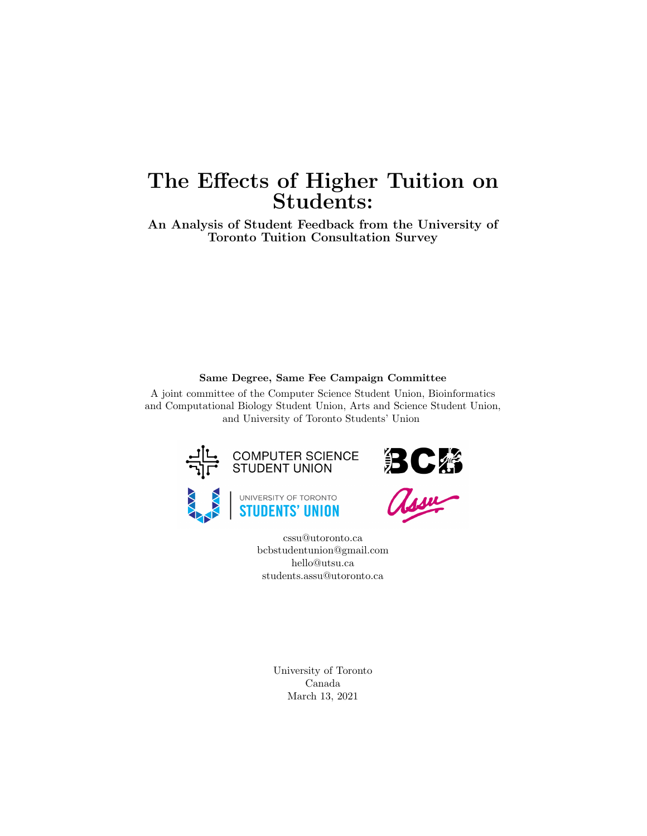# The Effects of Higher Tuition on Students:

An Analysis of Student Feedback from the University of Toronto Tuition Consultation Survey

#### Same Degree, Same Fee Campaign Committee

A joint committee of the Computer Science Student Union, Bioinformatics and Computational Biology Student Union, Arts and Science Student Union, and University of Toronto Students' Union









cssu@utoronto.ca bcbstudentunion@gmail.com hello@utsu.ca students.assu@utoronto.ca

> University of Toronto Canada March 13, 2021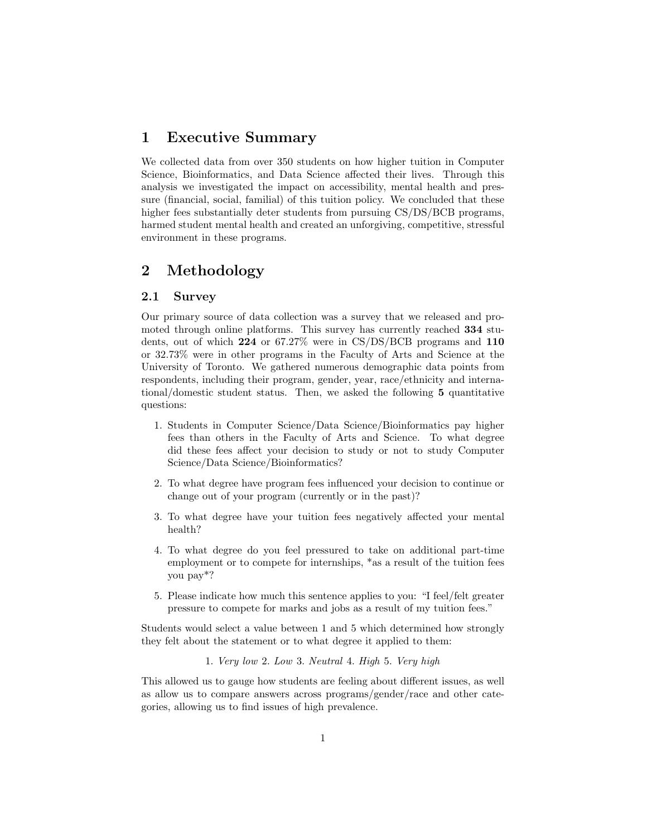### 1 Executive Summary

We collected data from over 350 students on how higher tuition in Computer Science, Bioinformatics, and Data Science affected their lives. Through this analysis we investigated the impact on accessibility, mental health and pressure (financial, social, familial) of this tuition policy. We concluded that these higher fees substantially deter students from pursuing CS/DS/BCB programs, harmed student mental health and created an unforgiving, competitive, stressful environment in these programs.

## 2 Methodology

#### 2.1 Survey

Our primary source of data collection was a survey that we released and promoted through online platforms. This survey has currently reached 334 students, out of which 224 or 67.27% were in CS/DS/BCB programs and 110 or 32.73% were in other programs in the Faculty of Arts and Science at the University of Toronto. We gathered numerous demographic data points from respondents, including their program, gender, year, race/ethnicity and international/domestic student status. Then, we asked the following 5 quantitative questions:

- 1. Students in Computer Science/Data Science/Bioinformatics pay higher fees than others in the Faculty of Arts and Science. To what degree did these fees affect your decision to study or not to study Computer Science/Data Science/Bioinformatics?
- 2. To what degree have program fees influenced your decision to continue or change out of your program (currently or in the past)?
- 3. To what degree have your tuition fees negatively affected your mental health?
- 4. To what degree do you feel pressured to take on additional part-time employment or to compete for internships,  $*$ as a result of the tuition fees you pay\*?
- 5. Please indicate how much this sentence applies to you: "I feel/felt greater pressure to compete for marks and jobs as a result of my tuition fees."

Students would select a value between 1 and 5 which determined how strongly they felt about the statement or to what degree it applied to them:

1. Very low 2. Low 3. Neutral 4. High 5. Very high

This allowed us to gauge how students are feeling about different issues, as well as allow us to compare answers across programs/gender/race and other categories, allowing us to find issues of high prevalence.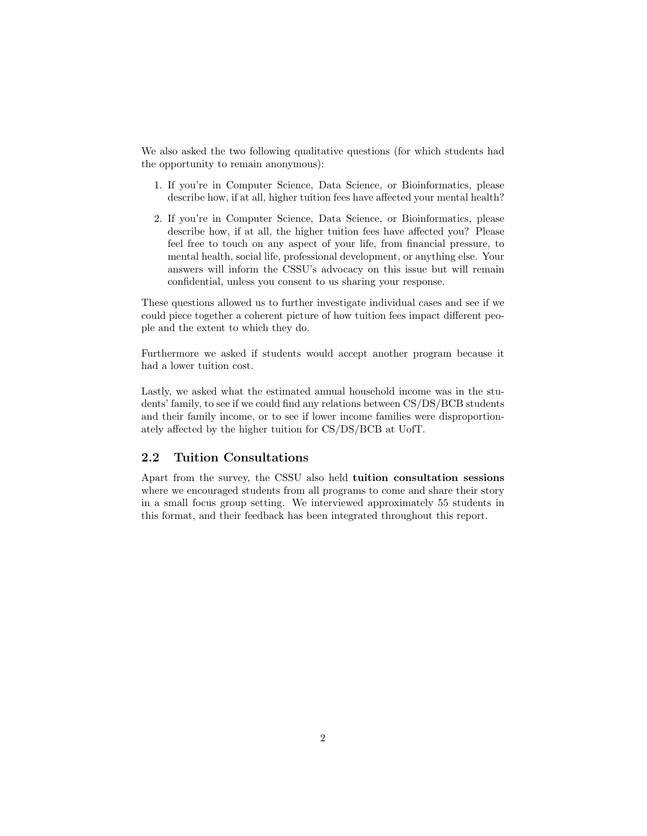We also asked the two following qualitative questions (for which students had the opportunity to remain anonymous):

- 1. If you're in Computer Science, Data Science, or Bioinformatics, please describe how, if at all, higher tuition fees have affected your mental health?
- 2. If you're in Computer Science, Data Science, or Bioinformatics, please describe how, if at all, the higher tuition fees have affected you? Please feel free to touch on any aspect of your life, from financial pressure, to mental health, social life, professional development, or anything else. Your answers will inform the CSSU's advocacy on this issue but will remain confidential, unless you consent to us sharing your response.

These questions allowed us to further investigate individual cases and see if we could piece together a coherent picture of how tuition fees impact different people and the extent to which they do.

Furthermore we asked if students would accept another program because it had a lower tuition cost.

Lastly, we asked what the estimated annual household income was in the students' family, to see if we could find any relations between CS/DS/BCB students and their family income, or to see if lower income families were disproportionately affected by the higher tuition for CS/DS/BCB at UofT.

#### 2.2 Tuition Consultations

Apart from the survey, the CSSU also held tuition consultation sessions where we encouraged students from all programs to come and share their story in a small focus group setting. We interviewed approximately 55 students in this format, and their feedback has been integrated throughout this report.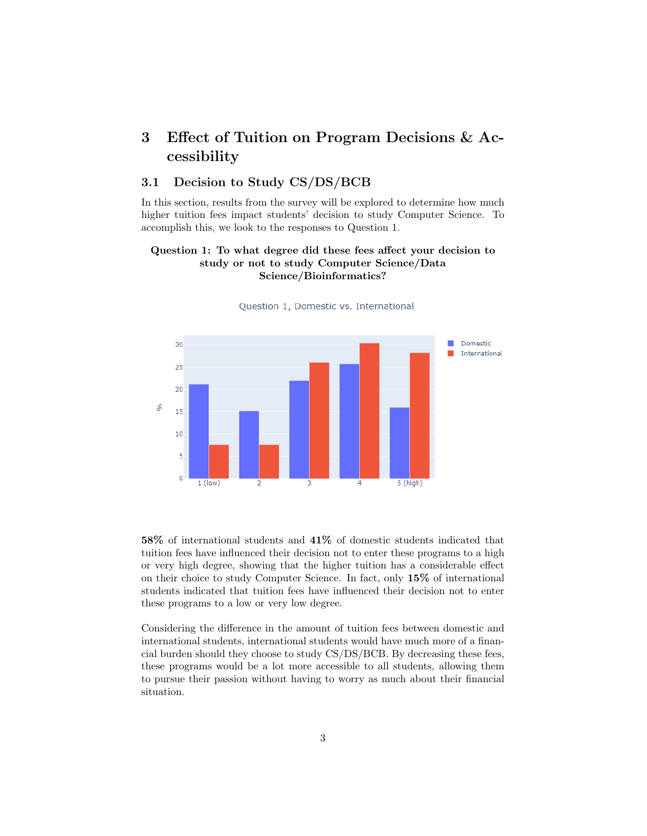## 3 Effect of Tuition on Program Decisions & Accessibility

#### 3.1 Decision to Study CS/DS/BCB

In this section, results from the survey will be explored to determine how much higher tuition fees impact students' decision to study Computer Science. To accomplish this, we look to the responses to Question 1.

#### Question 1: To what degree did these fees affect your decision to study or not to study Computer Science/Data Science/Bioinformatics?



Question 1, Domestic vs. International

58% of international students and 41% of domestic students indicated that tuition fees have influenced their decision not to enter these programs to a high or very high degree, showing that the higher tuition has a considerable effect on their choice to study Computer Science. In fact, only 15% of international students indicated that tuition fees have influenced their decision not to enter these programs to a low or very low degree.

Considering the difference in the amount of tuition fees between domestic and international students, international students would have much more of a financial burden should they choose to study CS/DS/BCB. By decreasing these fees, these programs would be a lot more accessible to all students, allowing them to pursue their passion without having to worry as much about their financial situation.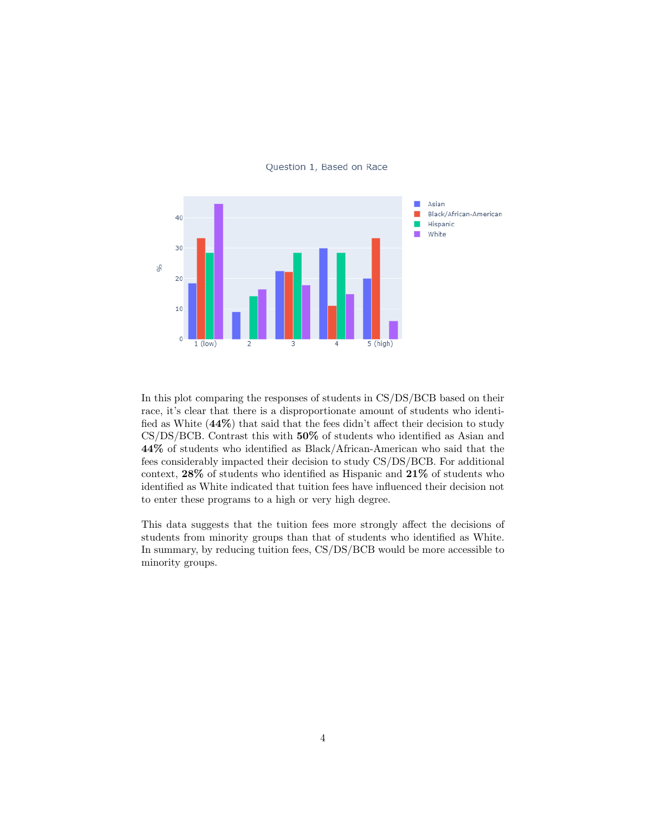

#### Question 1, Based on Race

In this plot comparing the responses of students in CS/DS/BCB based on their race, it's clear that there is a disproportionate amount of students who identified as White (44%) that said that the fees didn't affect their decision to study CS/DS/BCB. Contrast this with 50% of students who identified as Asian and 44% of students who identified as Black/African-American who said that the fees considerably impacted their decision to study CS/DS/BCB. For additional context, 28% of students who identified as Hispanic and 21% of students who identified as White indicated that tuition fees have influenced their decision not to enter these programs to a high or very high degree.

This data suggests that the tuition fees more strongly affect the decisions of students from minority groups than that of students who identified as White. In summary, by reducing tuition fees, CS/DS/BCB would be more accessible to minority groups.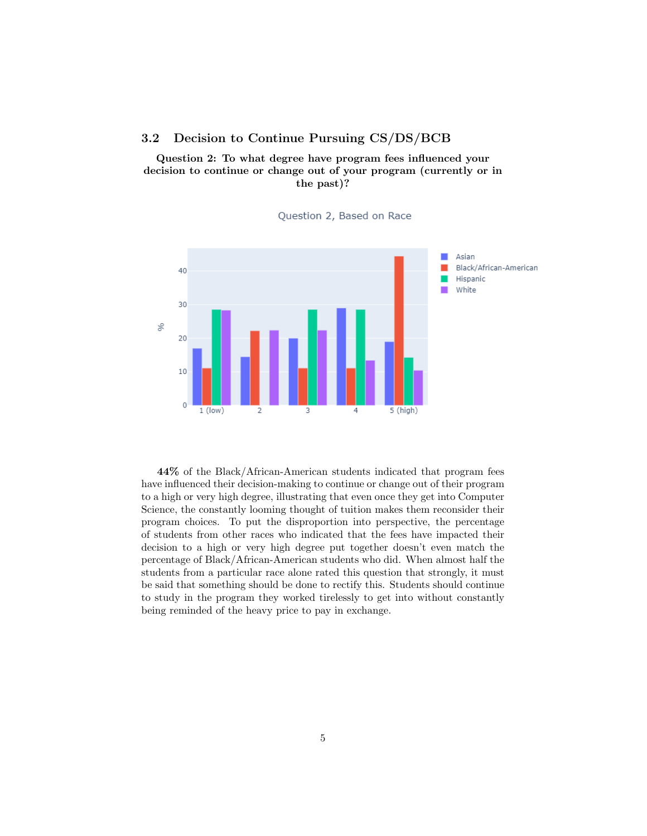#### 3.2 Decision to Continue Pursuing CS/DS/BCB

Question 2: To what degree have program fees influenced your decision to continue or change out of your program (currently or in the past)?



Question 2, Based on Race

44% of the Black/African-American students indicated that program fees have influenced their decision-making to continue or change out of their program to a high or very high degree, illustrating that even once they get into Computer Science, the constantly looming thought of tuition makes them reconsider their program choices. To put the disproportion into perspective, the percentage of students from other races who indicated that the fees have impacted their decision to a high or very high degree put together doesn't even match the percentage of Black/African-American students who did. When almost half the students from a particular race alone rated this question that strongly, it must be said that something should be done to rectify this. Students should continue to study in the program they worked tirelessly to get into without constantly being reminded of the heavy price to pay in exchange.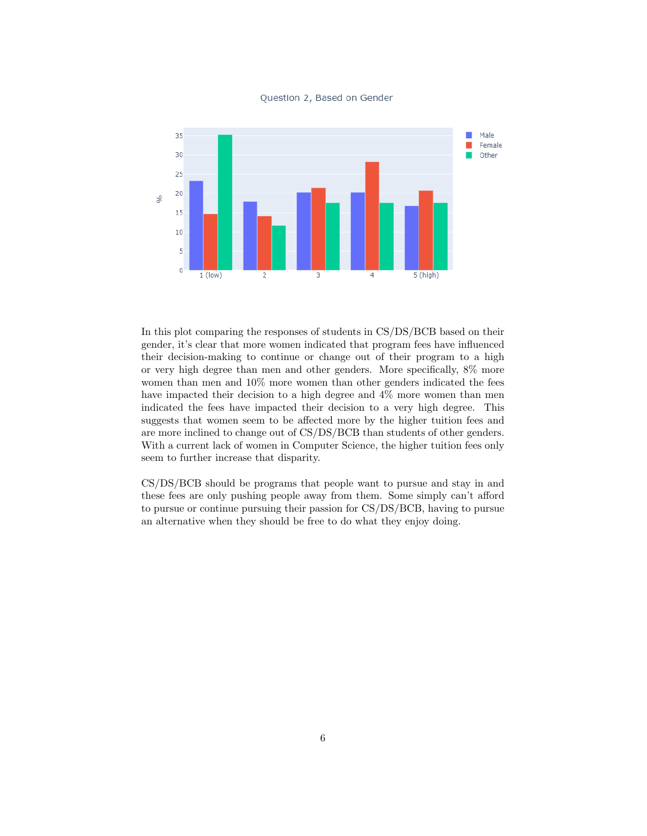

Question 2, Based on Gender

In this plot comparing the responses of students in CS/DS/BCB based on their gender, it's clear that more women indicated that program fees have influenced their decision-making to continue or change out of their program to a high or very high degree than men and other genders. More specifically, 8% more women than men and 10% more women than other genders indicated the fees have impacted their decision to a high degree and 4% more women than men indicated the fees have impacted their decision to a very high degree. This suggests that women seem to be affected more by the higher tuition fees and are more inclined to change out of CS/DS/BCB than students of other genders. With a current lack of women in Computer Science, the higher tuition fees only seem to further increase that disparity.

CS/DS/BCB should be programs that people want to pursue and stay in and these fees are only pushing people away from them. Some simply can't afford to pursue or continue pursuing their passion for CS/DS/BCB, having to pursue an alternative when they should be free to do what they enjoy doing.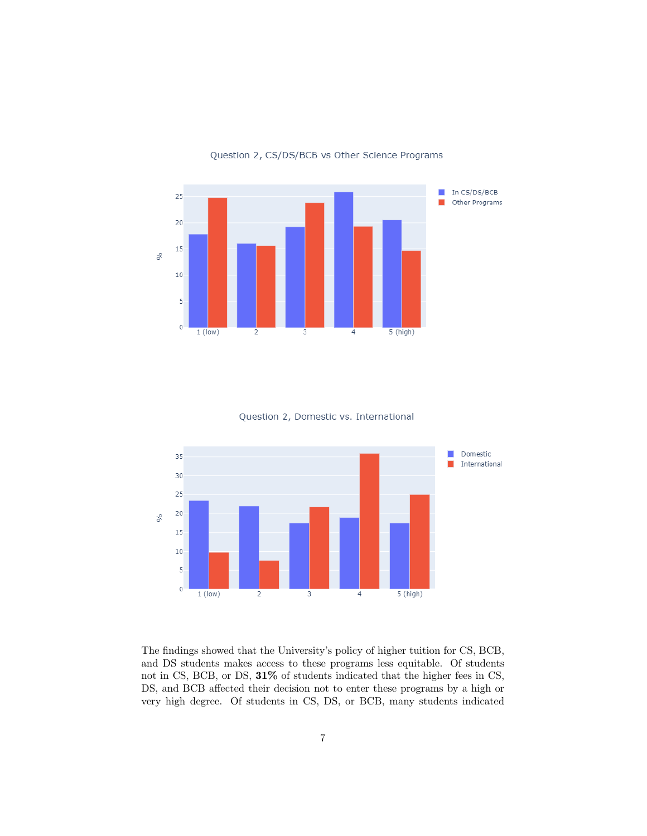

Question 2, CS/DS/BCB vs Other Science Programs

Question 2, Domestic vs. International



The findings showed that the University's policy of higher tuition for CS, BCB, and DS students makes access to these programs less equitable. Of students not in CS, BCB, or DS,  $31\%$  of students indicated that the higher fees in CS, DS, and BCB affected their decision not to enter these programs by a high or very high degree. Of students in CS, DS, or BCB, many students indicated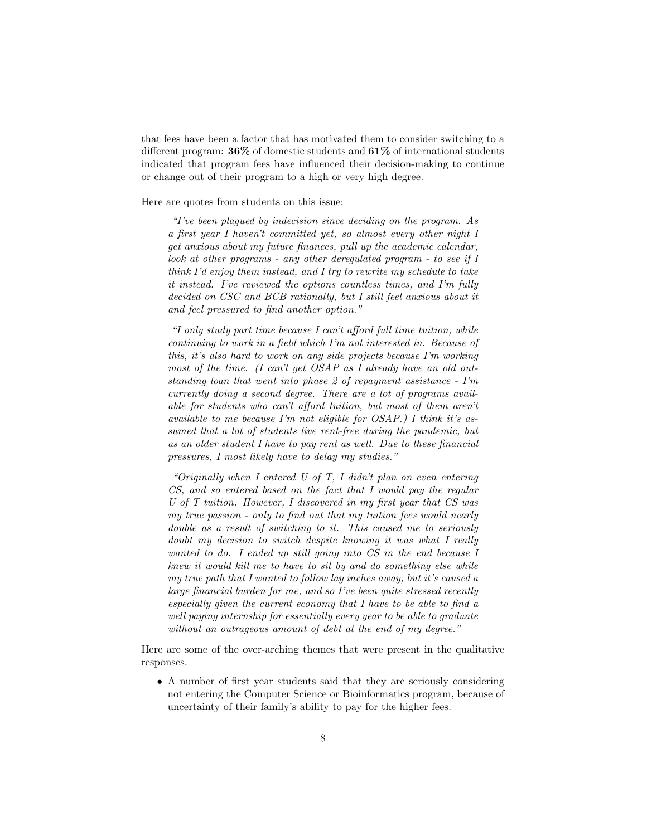that fees have been a factor that has motivated them to consider switching to a different program: 36% of domestic students and 61% of international students indicated that program fees have influenced their decision-making to continue or change out of their program to a high or very high degree.

Here are quotes from students on this issue:

"I've been plagued by indecision since deciding on the program. As a first year I haven't committed yet, so almost every other night I get anxious about my future finances, pull up the academic calendar, look at other programs - any other deregulated program - to see if I think I'd enjoy them instead, and I try to rewrite my schedule to take it instead. I've reviewed the options countless times, and I'm fully decided on CSC and BCB rationally, but I still feel anxious about it and feel pressured to find another option."

"I only study part time because I can't afford full time tuition, while continuing to work in a field which I'm not interested in. Because of this, it's also hard to work on any side projects because I'm working most of the time. (I can't get OSAP as I already have an old outstanding loan that went into phase 2 of repayment assistance - I'm currently doing a second degree. There are a lot of programs available for students who can't afford tuition, but most of them aren't available to me because I'm not eligible for OSAP.) I think it's assumed that a lot of students live rent-free during the pandemic, but as an older student I have to pay rent as well. Due to these financial pressures, I most likely have to delay my studies."

"Originally when I entered U of T, I didn't plan on even entering CS, and so entered based on the fact that I would pay the regular U of T tuition. However, I discovered in my first year that CS was my true passion - only to find out that my tuition fees would nearly double as a result of switching to it. This caused me to seriously doubt my decision to switch despite knowing it was what I really wanted to do. I ended up still going into CS in the end because I knew it would kill me to have to sit by and do something else while my true path that I wanted to follow lay inches away, but it's caused a large financial burden for me, and so I've been quite stressed recently especially given the current economy that I have to be able to find a well paying internship for essentially every year to be able to graduate without an outrageous amount of debt at the end of my degree."

Here are some of the over-arching themes that were present in the qualitative responses.

• A number of first year students said that they are seriously considering not entering the Computer Science or Bioinformatics program, because of uncertainty of their family's ability to pay for the higher fees.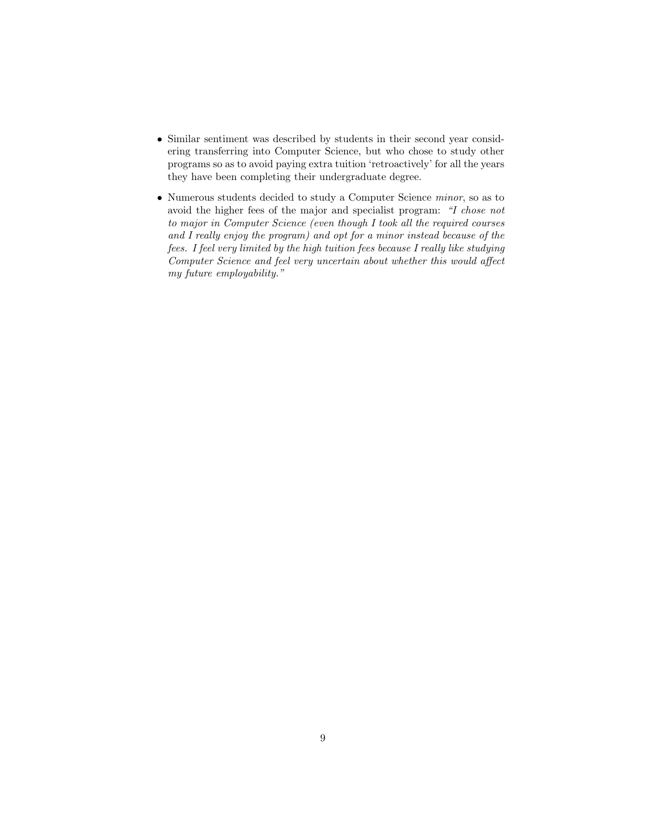- Similar sentiment was described by students in their second year considering transferring into Computer Science, but who chose to study other programs so as to avoid paying extra tuition 'retroactively' for all the years they have been completing their undergraduate degree.
- Numerous students decided to study a Computer Science minor, so as to avoid the higher fees of the major and specialist program: "I chose not to major in Computer Science (even though I took all the required courses and I really enjoy the program) and opt for a minor instead because of the fees. I feel very limited by the high tuition fees because I really like studying Computer Science and feel very uncertain about whether this would affect my future employability."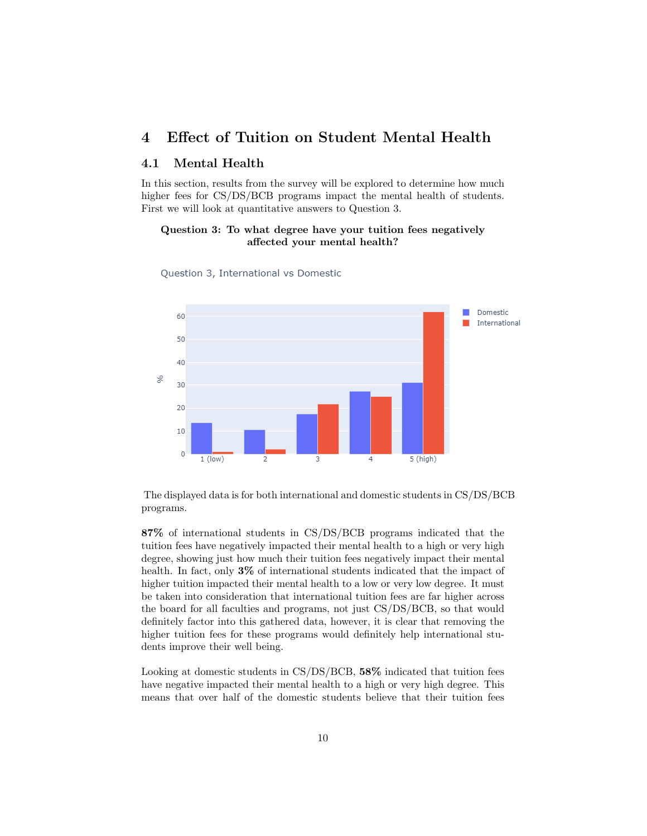## 4 Effect of Tuition on Student Mental Health

#### 4.1 Mental Health

In this section, results from the survey will be explored to determine how much higher fees for CS/DS/BCB programs impact the mental health of students. First we will look at quantitative answers to Question 3.

#### Question 3: To what degree have your tuition fees negatively affected your mental health?



Question 3, International vs Domestic

The displayed data is for both international and domestic students in CS/DS/BCB programs.

87% of international students in CS/DS/BCB programs indicated that the tuition fees have negatively impacted their mental health to a high or very high degree, showing just how much their tuition fees negatively impact their mental health. In fact, only 3% of international students indicated that the impact of higher tuition impacted their mental health to a low or very low degree. It must be taken into consideration that international tuition fees are far higher across the board for all faculties and programs, not just CS/DS/BCB, so that would definitely factor into this gathered data, however, it is clear that removing the higher tuition fees for these programs would definitely help international students improve their well being.

Looking at domestic students in CS/DS/BCB, 58% indicated that tuition fees have negative impacted their mental health to a high or very high degree. This means that over half of the domestic students believe that their tuition fees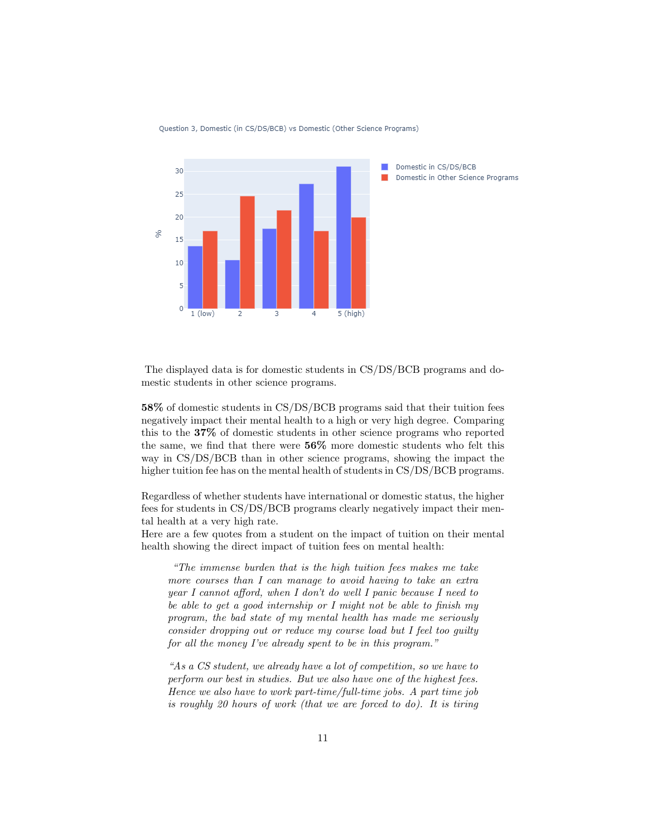

Question 3, Domestic (in CS/DS/BCB) vs Domestic (Other Science Programs)

The displayed data is for domestic students in CS/DS/BCB programs and domestic students in other science programs.

58% of domestic students in CS/DS/BCB programs said that their tuition fees negatively impact their mental health to a high or very high degree. Comparing this to the 37% of domestic students in other science programs who reported the same, we find that there were 56% more domestic students who felt this way in CS/DS/BCB than in other science programs, showing the impact the higher tuition fee has on the mental health of students in CS/DS/BCB programs.

Regardless of whether students have international or domestic status, the higher fees for students in CS/DS/BCB programs clearly negatively impact their mental health at a very high rate.

Here are a few quotes from a student on the impact of tuition on their mental health showing the direct impact of tuition fees on mental health:

"The immense burden that is the high tuition fees makes me take more courses than I can manage to avoid having to take an extra year I cannot afford, when I don't do well I panic because I need to be able to get a good internship or I might not be able to finish my program, the bad state of my mental health has made me seriously consider dropping out or reduce my course load but I feel too guilty for all the money I've already spent to be in this program."

"As a CS student, we already have a lot of competition, so we have to perform our best in studies. But we also have one of the highest fees. Hence we also have to work part-time/full-time jobs. A part time job is roughly 20 hours of work (that we are forced to do). It is tiring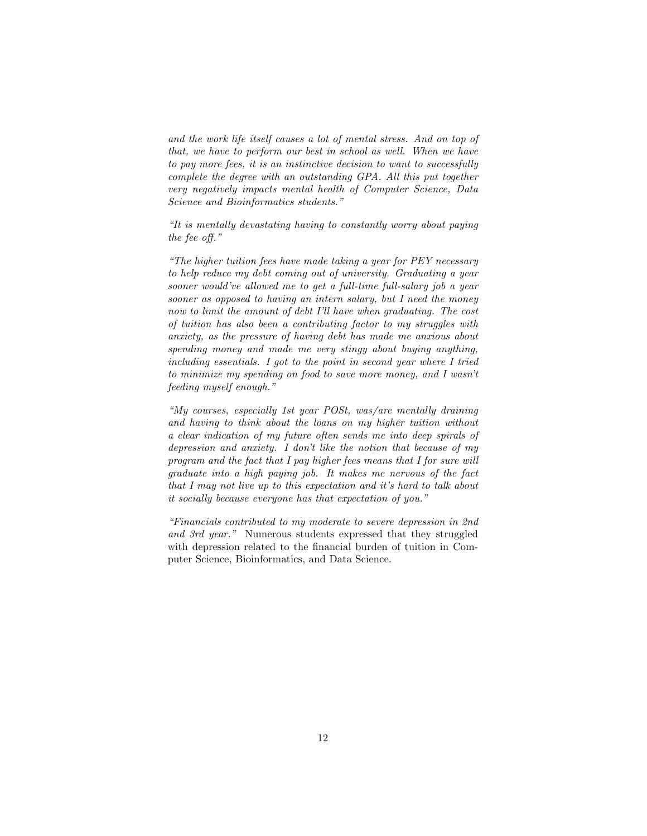and the work life itself causes a lot of mental stress. And on top of that, we have to perform our best in school as well. When we have to pay more fees, it is an instinctive decision to want to successfully complete the degree with an outstanding GPA. All this put together very negatively impacts mental health of Computer Science, Data Science and Bioinformatics students."

"It is mentally devastating having to constantly worry about paying the fee off."

"The higher tuition fees have made taking a year for PEY necessary to help reduce my debt coming out of university. Graduating a year sooner would've allowed me to get a full-time full-salary job a year sooner as opposed to having an intern salary, but I need the money now to limit the amount of debt I'll have when graduating. The cost of tuition has also been a contributing factor to my struggles with anxiety, as the pressure of having debt has made me anxious about spending money and made me very stingy about buying anything, including essentials. I got to the point in second year where I tried to minimize my spending on food to save more money, and I wasn't feeding myself enough."

"My courses, especially 1st year POSt, was/are mentally draining and having to think about the loans on my higher tuition without a clear indication of my future often sends me into deep spirals of depression and anxiety. I don't like the notion that because of my program and the fact that I pay higher fees means that I for sure will graduate into a high paying job. It makes me nervous of the fact that I may not live up to this expectation and it's hard to talk about it socially because everyone has that expectation of you."

"Financials contributed to my moderate to severe depression in 2nd and 3rd year." Numerous students expressed that they struggled with depression related to the financial burden of tuition in Computer Science, Bioinformatics, and Data Science.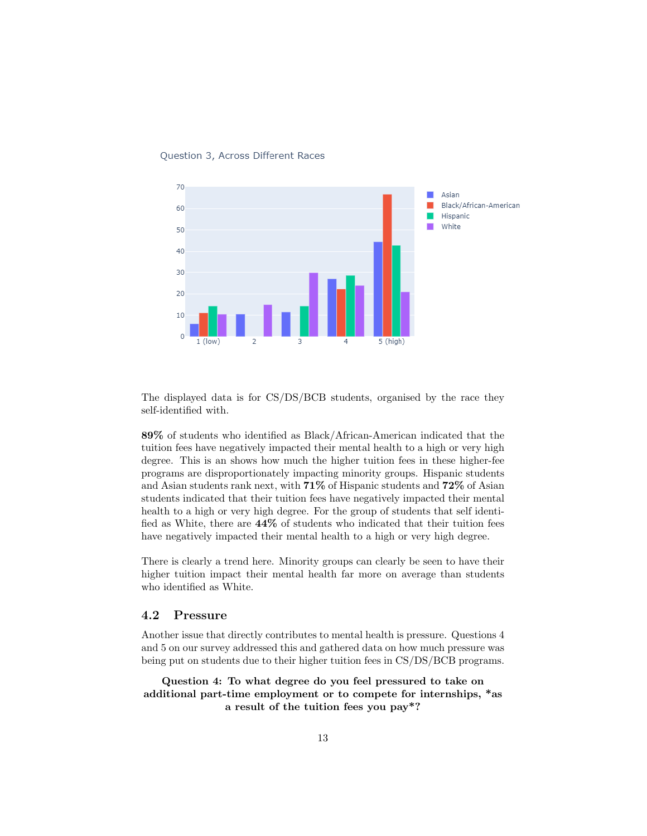

#### Question 3, Across Different Races

The displayed data is for CS/DS/BCB students, organised by the race they self-identified with.

89% of students who identified as Black/African-American indicated that the tuition fees have negatively impacted their mental health to a high or very high degree. This is an shows how much the higher tuition fees in these higher-fee programs are disproportionately impacting minority groups. Hispanic students and Asian students rank next, with 71% of Hispanic students and 72% of Asian students indicated that their tuition fees have negatively impacted their mental health to a high or very high degree. For the group of students that self identified as White, there are 44% of students who indicated that their tuition fees have negatively impacted their mental health to a high or very high degree.

There is clearly a trend here. Minority groups can clearly be seen to have their higher tuition impact their mental health far more on average than students who identified as White.

#### 4.2 Pressure

Another issue that directly contributes to mental health is pressure. Questions 4 and 5 on our survey addressed this and gathered data on how much pressure was being put on students due to their higher tuition fees in CS/DS/BCB programs.

Question 4: To what degree do you feel pressured to take on additional part-time employment or to compete for internships, \*as a result of the tuition fees you pay\*?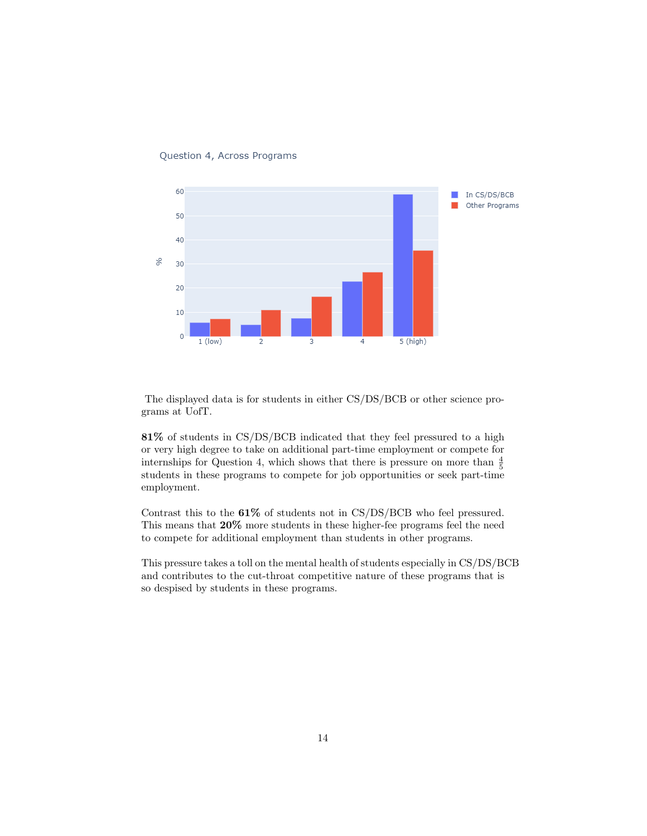

Question 4, Across Programs

The displayed data is for students in either CS/DS/BCB or other science programs at UofT.

81% of students in CS/DS/BCB indicated that they feel pressured to a high or very high degree to take on additional part-time employment or compete for internships for Question 4, which shows that there is pressure on more than  $\frac{4}{5}$ students in these programs to compete for job opportunities or seek part-time employment.

Contrast this to the 61% of students not in CS/DS/BCB who feel pressured. This means that 20% more students in these higher-fee programs feel the need to compete for additional employment than students in other programs.

This pressure takes a toll on the mental health of students especially in CS/DS/BCB and contributes to the cut-throat competitive nature of these programs that is so despised by students in these programs.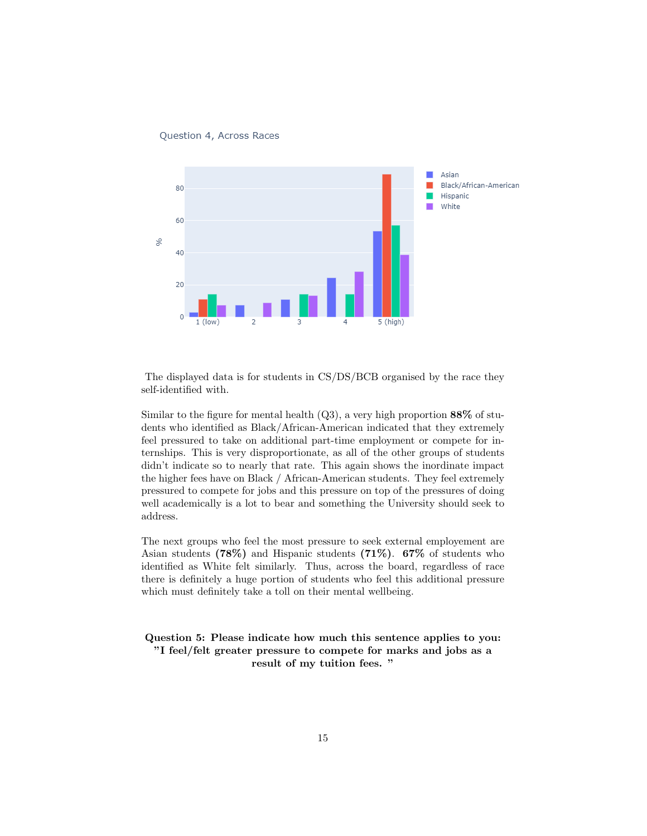



The displayed data is for students in CS/DS/BCB organised by the race they self-identified with.

Similar to the figure for mental health  $(Q3)$ , a very high proportion 88% of students who identified as Black/African-American indicated that they extremely feel pressured to take on additional part-time employment or compete for internships. This is very disproportionate, as all of the other groups of students didn't indicate so to nearly that rate. This again shows the inordinate impact the higher fees have on Black / African-American students. They feel extremely pressured to compete for jobs and this pressure on top of the pressures of doing well academically is a lot to bear and something the University should seek to address.

The next groups who feel the most pressure to seek external employement are Asian students  $(78\%)$  and Hispanic students  $(71\%)$ .  $67\%$  of students who identified as White felt similarly. Thus, across the board, regardless of race there is definitely a huge portion of students who feel this additional pressure which must definitely take a toll on their mental wellbeing.

Question 5: Please indicate how much this sentence applies to you: "I feel/felt greater pressure to compete for marks and jobs as a result of my tuition fees. "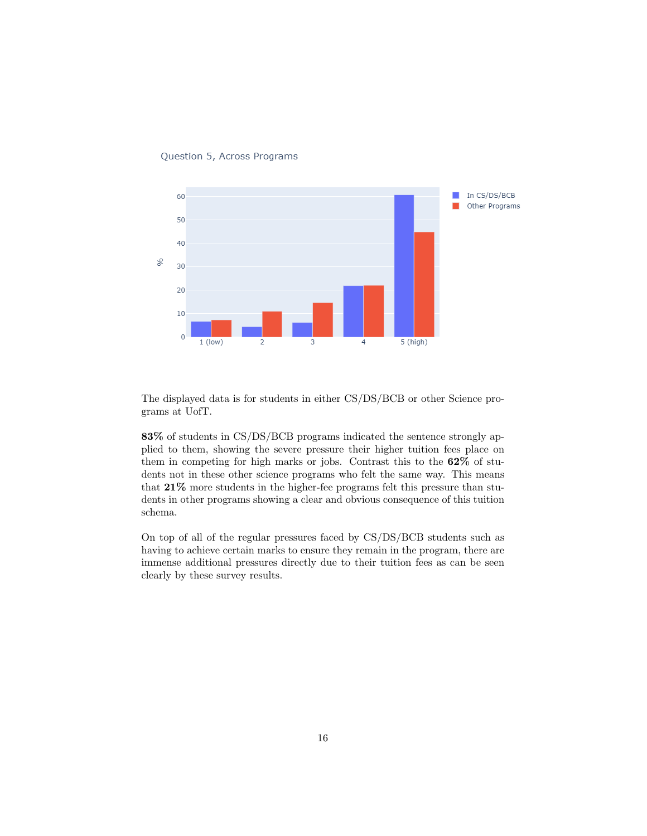

Question 5, Across Programs

The displayed data is for students in either CS/DS/BCB or other Science programs at UofT.

83% of students in CS/DS/BCB programs indicated the sentence strongly applied to them, showing the severe pressure their higher tuition fees place on them in competing for high marks or jobs. Contrast this to the 62% of students not in these other science programs who felt the same way. This means that 21% more students in the higher-fee programs felt this pressure than students in other programs showing a clear and obvious consequence of this tuition schema.

On top of all of the regular pressures faced by CS/DS/BCB students such as having to achieve certain marks to ensure they remain in the program, there are immense additional pressures directly due to their tuition fees as can be seen clearly by these survey results.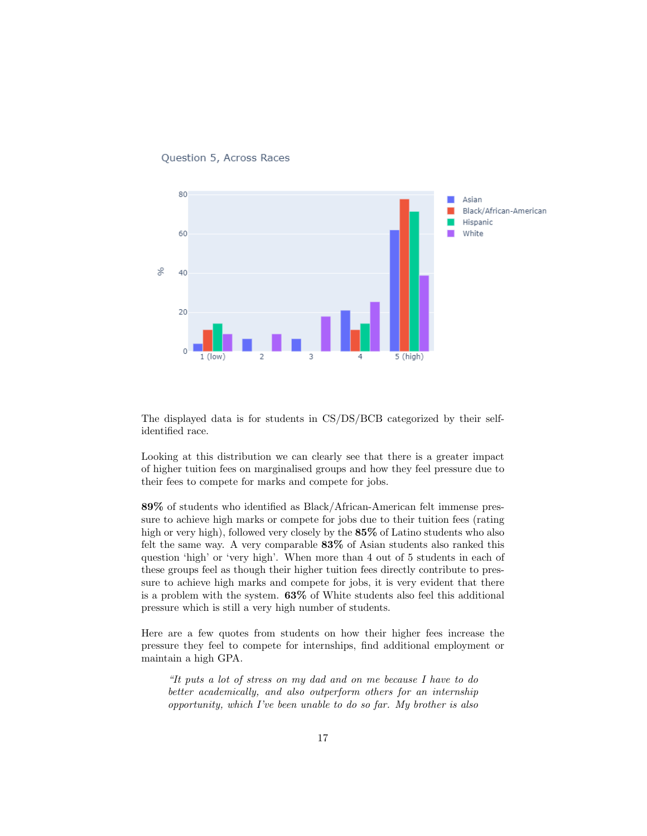

Question 5, Across Races

The displayed data is for students in CS/DS/BCB categorized by their selfidentified race.

Looking at this distribution we can clearly see that there is a greater impact of higher tuition fees on marginalised groups and how they feel pressure due to their fees to compete for marks and compete for jobs.

89% of students who identified as Black/African-American felt immense pressure to achieve high marks or compete for jobs due to their tuition fees (rating high or very high), followed very closely by the  $85\%$  of Latino students who also felt the same way. A very comparable 83% of Asian students also ranked this question 'high' or 'very high'. When more than 4 out of 5 students in each of these groups feel as though their higher tuition fees directly contribute to pressure to achieve high marks and compete for jobs, it is very evident that there is a problem with the system. 63% of White students also feel this additional pressure which is still a very high number of students.

Here are a few quotes from students on how their higher fees increase the pressure they feel to compete for internships, find additional employment or maintain a high GPA.

"It puts a lot of stress on my dad and on me because I have to do better academically, and also outperform others for an internship opportunity, which I've been unable to do so far. My brother is also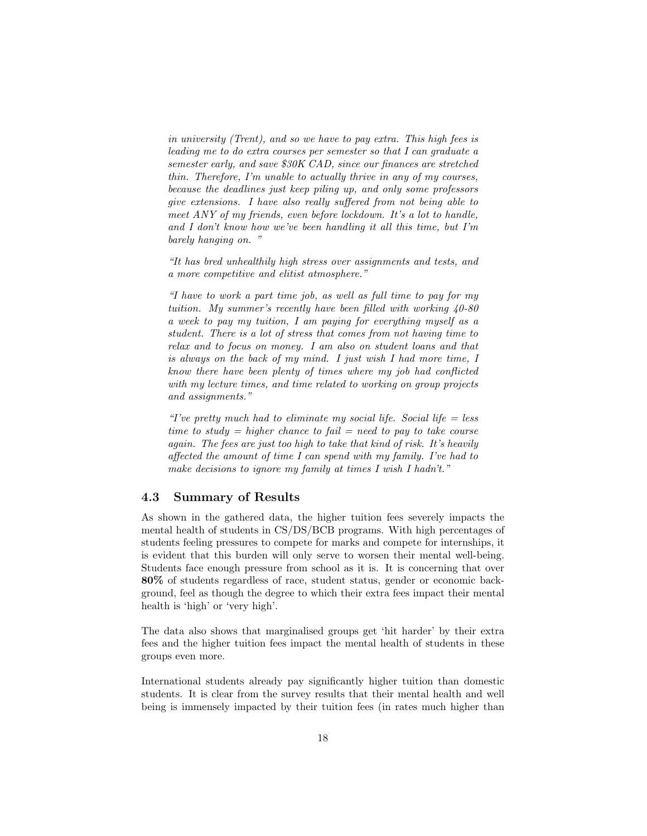in university (Trent), and so we have to pay extra. This high fees is leading me to do extra courses per semester so that I can graduate a semester early, and save \$30K CAD, since our finances are stretched thin. Therefore, I'm unable to actually thrive in any of my courses, because the deadlines just keep piling up, and only some professors give extensions. I have also really suffered from not being able to meet ANY of my friends, even before lockdown. It's a lot to handle, and I don't know how we've been handling it all this time, but I'm barely hanging on."

"It has bred unhealthily high stress over assignments and tests, and a more competitive and elitist atmosphere."

"I have to work a part time job, as well as full time to pay for my tuition. My summer's recently have been filled with working 40-80 a week to pay my tuition, I am paying for everything myself as a student. There is a lot of stress that comes from not having time to relax and to focus on money. I am also on student loans and that is always on the back of my mind. I just wish I had more time, I know there have been plenty of times where my job had conflicted with my lecture times, and time related to working on group projects and assignments."

"I've pretty much had to eliminate my social life. Social life  $=$  less time to study  $=$  higher chance to fail  $=$  need to pay to take course again. The fees are just too high to take that kind of risk. It's heavily affected the amount of time I can spend with my family. I've had to make decisions to ignore my family at times I wish I hadn't."

#### 4.3 Summary of Results

As shown in the gathered data, the higher tuition fees severely impacts the mental health of students in CS/DS/BCB programs. With high percentages of students feeling pressures to compete for marks and compete for internships, it is evident that this burden will only serve to worsen their mental well-being. Students face enough pressure from school as it is. It is concerning that over 80% of students regardless of race, student status, gender or economic background, feel as though the degree to which their extra fees impact their mental health is 'high' or 'very high'.

The data also shows that marginalised groups get 'hit harder' by their extra fees and the higher tuition fees impact the mental health of students in these groups even more.

International students already pay significantly higher tuition than domestic students. It is clear from the survey results that their mental health and well being is immensely impacted by their tuition fees (in rates much higher than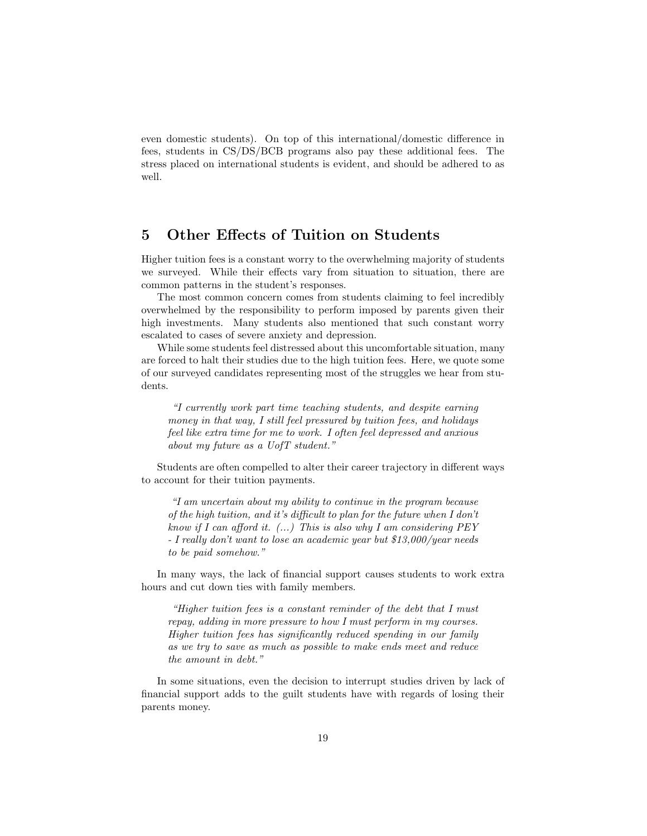even domestic students). On top of this international/domestic difference in fees, students in CS/DS/BCB programs also pay these additional fees. The stress placed on international students is evident, and should be adhered to as well.

## 5 Other Effects of Tuition on Students

Higher tuition fees is a constant worry to the overwhelming majority of students we surveyed. While their effects vary from situation to situation, there are common patterns in the student's responses.

The most common concern comes from students claiming to feel incredibly overwhelmed by the responsibility to perform imposed by parents given their high investments. Many students also mentioned that such constant worry escalated to cases of severe anxiety and depression.

While some students feel distressed about this uncomfortable situation, many are forced to halt their studies due to the high tuition fees. Here, we quote some of our surveyed candidates representing most of the struggles we hear from students.

"I currently work part time teaching students, and despite earning money in that way, I still feel pressured by tuition fees, and holidays feel like extra time for me to work. I often feel depressed and anxious about my future as a UofT student."

Students are often compelled to alter their career trajectory in different ways to account for their tuition payments.

"I am uncertain about my ability to continue in the program because of the high tuition, and it's difficult to plan for the future when I don't know if I can afford it.  $(...)$  This is also why I am considering PEY - I really don't want to lose an academic year but \$13,000/year needs to be paid somehow."

In many ways, the lack of financial support causes students to work extra hours and cut down ties with family members.

"Higher tuition fees is a constant reminder of the debt that I must repay, adding in more pressure to how I must perform in my courses. Higher tuition fees has significantly reduced spending in our family as we try to save as much as possible to make ends meet and reduce the amount in debt."

In some situations, even the decision to interrupt studies driven by lack of financial support adds to the guilt students have with regards of losing their parents money.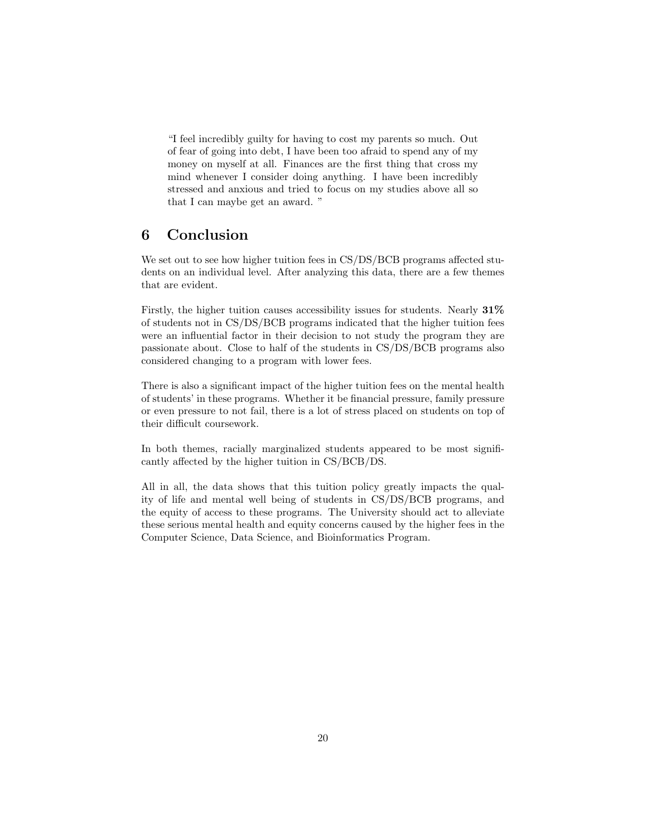"I feel incredibly guilty for having to cost my parents so much. Out of fear of going into debt, I have been too afraid to spend any of my money on myself at all. Finances are the first thing that cross my mind whenever I consider doing anything. I have been incredibly stressed and anxious and tried to focus on my studies above all so that I can maybe get an award. "

## 6 Conclusion

We set out to see how higher tuition fees in CS/DS/BCB programs affected students on an individual level. After analyzing this data, there are a few themes that are evident.

Firstly, the higher tuition causes accessibility issues for students. Nearly 31% of students not in CS/DS/BCB programs indicated that the higher tuition fees were an influential factor in their decision to not study the program they are passionate about. Close to half of the students in CS/DS/BCB programs also considered changing to a program with lower fees.

There is also a significant impact of the higher tuition fees on the mental health of students' in these programs. Whether it be financial pressure, family pressure or even pressure to not fail, there is a lot of stress placed on students on top of their difficult coursework.

In both themes, racially marginalized students appeared to be most significantly affected by the higher tuition in CS/BCB/DS.

All in all, the data shows that this tuition policy greatly impacts the quality of life and mental well being of students in CS/DS/BCB programs, and the equity of access to these programs. The University should act to alleviate these serious mental health and equity concerns caused by the higher fees in the Computer Science, Data Science, and Bioinformatics Program.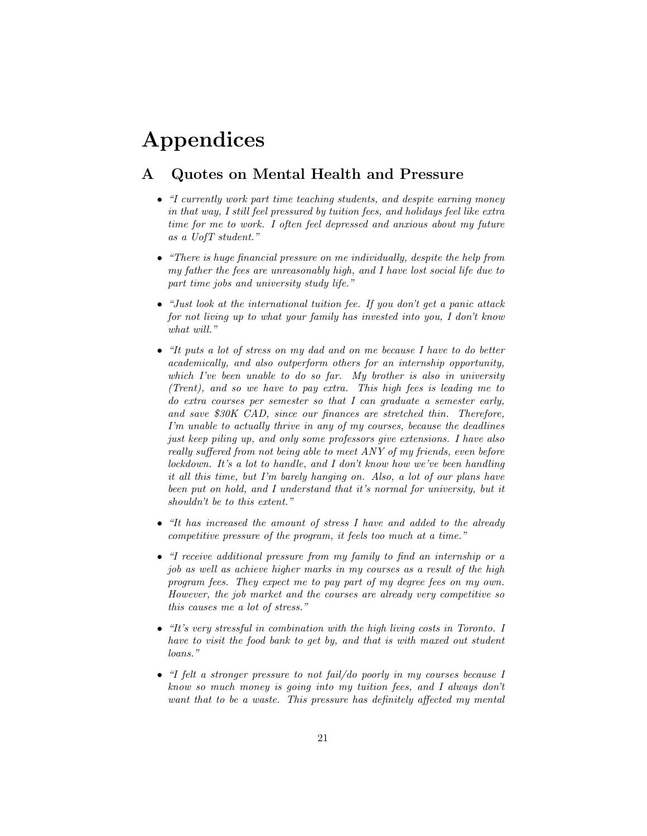# Appendices

## A Quotes on Mental Health and Pressure

- "I currently work part time teaching students, and despite earning money in that way, I still feel pressured by tuition fees, and holidays feel like extra time for me to work. I often feel depressed and anxious about my future as a UofT student."
- "There is huge financial pressure on me individually, despite the help from my father the fees are unreasonably high, and I have lost social life due to part time jobs and university study life."
- "Just look at the international tuition fee. If you don't get a panic attack for not living up to what your family has invested into you, I don't know what will."
- "It puts a lot of stress on my dad and on me because I have to do better academically, and also outperform others for an internship opportunity, which I've been unable to do so far. My brother is also in university (Trent), and so we have to pay extra. This high fees is leading me to do extra courses per semester so that I can graduate a semester early, and save \$30K CAD, since our finances are stretched thin. Therefore, I'm unable to actually thrive in any of my courses, because the deadlines just keep piling up, and only some professors give extensions. I have also really suffered from not being able to meet ANY of my friends, even before lockdown. It's a lot to handle, and I don't know how we've been handling it all this time, but I'm barely hanging on. Also, a lot of our plans have been put on hold, and I understand that it's normal for university, but it shouldn't be to this extent."
- "It has increased the amount of stress I have and added to the already competitive pressure of the program, it feels too much at a time."
- "I receive additional pressure from my family to find an internship or a job as well as achieve higher marks in my courses as a result of the high program fees. They expect me to pay part of my degree fees on my own. However, the job market and the courses are already very competitive so this causes me a lot of stress."
- "It's very stressful in combination with the high living costs in Toronto. I have to visit the food bank to get by, and that is with maxed out student loans."
- "I felt a stronger pressure to not fail/do poorly in my courses because I know so much money is going into my tuition fees, and I always don't want that to be a waste. This pressure has definitely affected my mental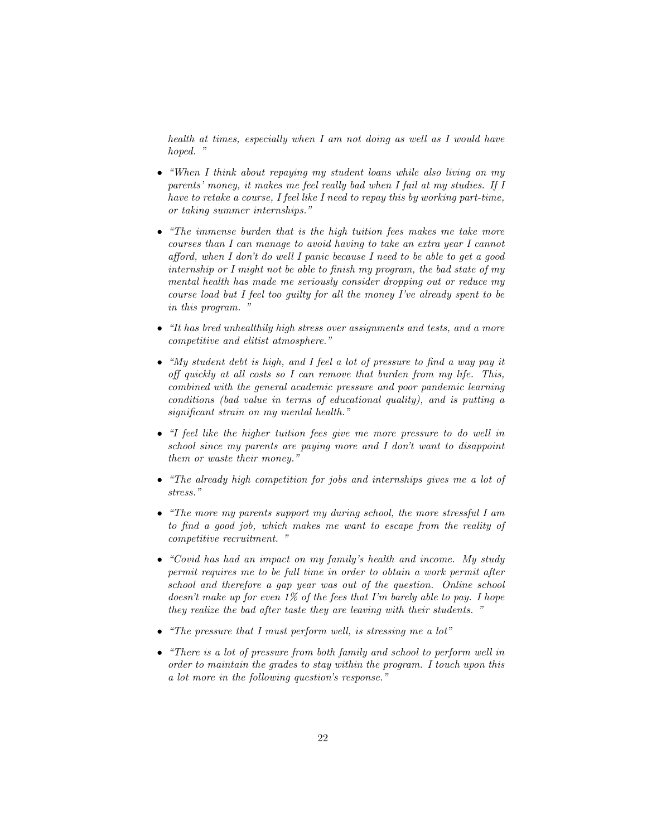health at times, especially when I am not doing as well as I would have hoped. "

- "When I think about repaying my student loans while also living on my parents' money, it makes me feel really bad when I fail at my studies. If I have to retake a course, I feel like I need to repay this by working part-time, or taking summer internships."
- "The immense burden that is the high tuition fees makes me take more courses than I can manage to avoid having to take an extra year I cannot afford, when I don't do well I panic because I need to be able to get a good internship or I might not be able to finish my program, the bad state of my mental health has made me seriously consider dropping out or reduce my course load but I feel too guilty for all the money I've already spent to be in this program. "
- "It has bred unhealthily high stress over assignments and tests, and a more competitive and elitist atmosphere."
- "My student debt is high, and I feel a lot of pressure to find a way pay it off quickly at all costs so I can remove that burden from my life. This, combined with the general academic pressure and poor pandemic learning conditions (bad value in terms of educational quality), and is putting a significant strain on my mental health."
- "I feel like the higher tuition fees give me more pressure to do well in school since my parents are paying more and I don't want to disappoint them or waste their money."
- "The already high competition for jobs and internships gives me a lot of stress."
- "The more my parents support my during school, the more stressful I am to find a good job, which makes me want to escape from the reality of competitive recruitment. "
- "Covid has had an impact on my family's health and income. My study permit requires me to be full time in order to obtain a work permit after school and therefore a gap year was out of the question. Online school doesn't make up for even 1% of the fees that I'm barely able to pay. I hope they realize the bad after taste they are leaving with their students. "
- "The pressure that I must perform well, is stressing me a lot"
- "There is a lot of pressure from both family and school to perform well in order to maintain the grades to stay within the program. I touch upon this a lot more in the following question's response."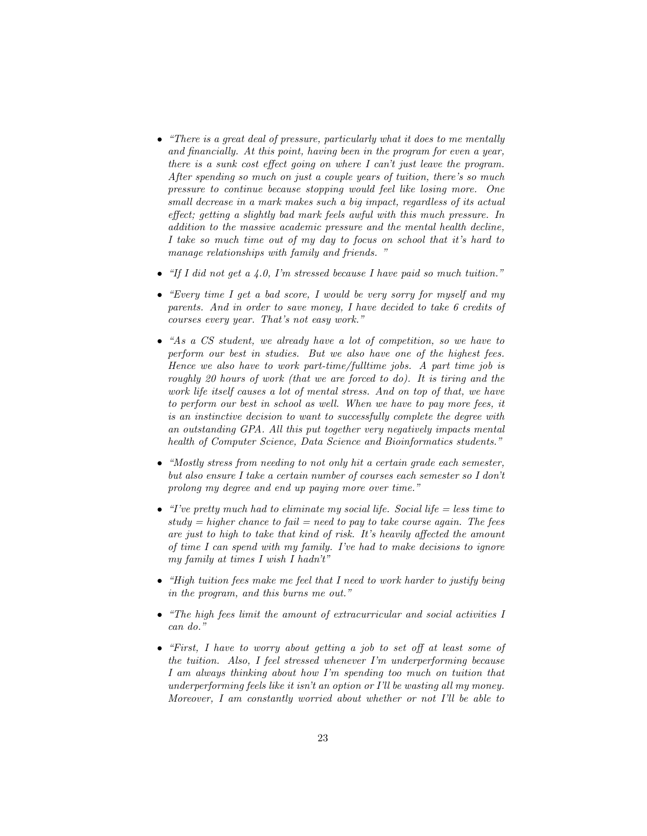- "There is a great deal of pressure, particularly what it does to me mentally and financially. At this point, having been in the program for even a year, there is a sunk cost effect going on where I can't just leave the program. After spending so much on just a couple years of tuition, there's so much pressure to continue because stopping would feel like losing more. One small decrease in a mark makes such a big impact, regardless of its actual effect; getting a slightly bad mark feels awful with this much pressure. In addition to the massive academic pressure and the mental health decline, I take so much time out of my day to focus on school that it's hard to manage relationships with family and friends."
- "If I did not get a 4.0, I'm stressed because I have paid so much tuition."
- "Every time I get a bad score, I would be very sorry for myself and my parents. And in order to save money, I have decided to take 6 credits of courses every year. That's not easy work."
- "As a CS student, we already have a lot of competition, so we have to perform our best in studies. But we also have one of the highest fees. Hence we also have to work part-time/fulltime jobs. A part time job is roughly 20 hours of work (that we are forced to do). It is tiring and the work life itself causes a lot of mental stress. And on top of that, we have to perform our best in school as well. When we have to pay more fees, it is an instinctive decision to want to successfully complete the degree with an outstanding GPA. All this put together very negatively impacts mental health of Computer Science, Data Science and Bioinformatics students."
- "Mostly stress from needing to not only hit a certain grade each semester, but also ensure I take a certain number of courses each semester so I don't prolong my degree and end up paying more over time."
- "I've pretty much had to eliminate my social life. Social life  $=$  less time to  $study = higher chance to fail = need to pay to take course again. The fees$ are just to high to take that kind of risk. It's heavily affected the amount of time I can spend with my family. I've had to make decisions to ignore my family at times I wish I hadn't"
- "High tuition fees make me feel that I need to work harder to justify being in the program, and this burns me out."
- "The high fees limit the amount of extracurricular and social activities I can do."
- "First, I have to worry about getting a job to set off at least some of the tuition. Also, I feel stressed whenever I'm underperforming because I am always thinking about how I'm spending too much on tuition that underperforming feels like it isn't an option or I'll be wasting all my money. Moreover, I am constantly worried about whether or not I'll be able to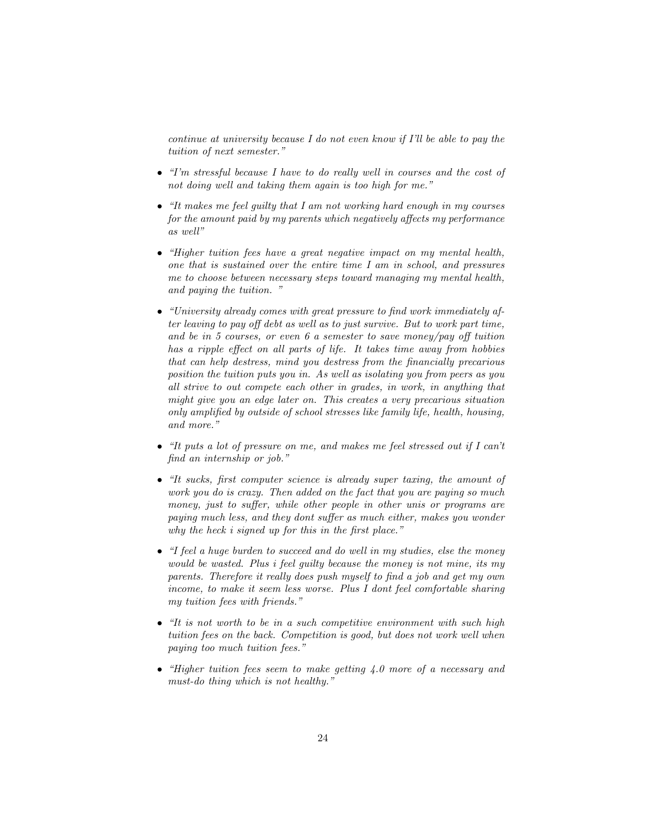continue at university because I do not even know if I'll be able to pay the tuition of next semester."

- "I'm stressful because I have to do really well in courses and the cost of not doing well and taking them again is too high for me."
- "It makes me feel guilty that I am not working hard enough in my courses for the amount paid by my parents which negatively affects my performance as well"
- "Higher tuition fees have a great negative impact on my mental health, one that is sustained over the entire time I am in school, and pressures me to choose between necessary steps toward managing my mental health, and paying the tuition. "
- "University already comes with great pressure to find work immediately after leaving to pay off debt as well as to just survive. But to work part time, and be in 5 courses, or even  $6$  a semester to save money/pay off tuition has a ripple effect on all parts of life. It takes time away from hobbies that can help destress, mind you destress from the financially precarious position the tuition puts you in. As well as isolating you from peers as you all strive to out compete each other in grades, in work, in anything that might give you an edge later on. This creates a very precarious situation only amplified by outside of school stresses like family life, health, housing, and more."
- "It puts a lot of pressure on me, and makes me feel stressed out if I can't find an internship or job."
- "It sucks, first computer science is already super taxing, the amount of work you do is crazy. Then added on the fact that you are paying so much money, just to suffer, while other people in other unis or programs are paying much less, and they dont suffer as much either, makes you wonder why the heck i signed up for this in the first place."
- "I feel a huge burden to succeed and do well in my studies, else the money would be wasted. Plus i feel guilty because the money is not mine, its my parents. Therefore it really does push myself to find a job and get my own income, to make it seem less worse. Plus I dont feel comfortable sharing my tuition fees with friends."
- "It is not worth to be in a such competitive environment with such high tuition fees on the back. Competition is good, but does not work well when paying too much tuition fees."
- "Higher tuition fees seem to make getting  $\angle 4.0$  more of a necessary and must-do thing which is not healthy."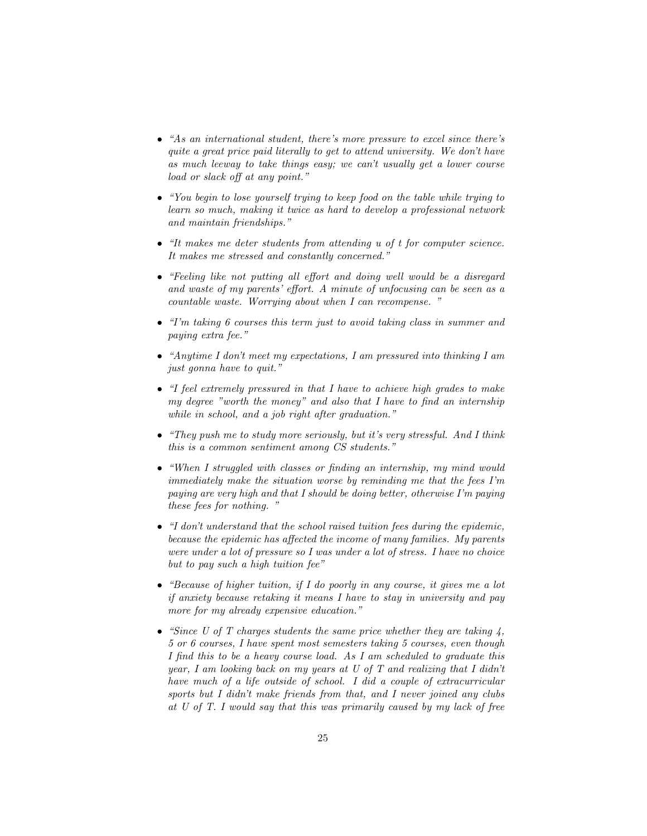- "As an international student, there's more pressure to excel since there's quite a great price paid literally to get to attend university. We don't have as much leeway to take things easy; we can't usually get a lower course load or slack off at any point."
- "You begin to lose yourself trying to keep food on the table while trying to learn so much, making it twice as hard to develop a professional network and maintain friendships."
- "It makes me deter students from attending u of t for computer science. It makes me stressed and constantly concerned."
- "Feeling like not putting all effort and doing well would be a disregard and waste of my parents' effort. A minute of unfocusing can be seen as a countable waste. Worrying about when I can recompense. "
- "I'm taking 6 courses this term just to avoid taking class in summer and paying extra fee."
- "Anytime I don't meet my expectations, I am pressured into thinking I am just gonna have to quit."
- "I feel extremely pressured in that I have to achieve high grades to make my degree "worth the money" and also that I have to find an internship while in school, and a job right after graduation."
- "They push me to study more seriously, but it's very stressful. And I think this is a common sentiment among CS students."
- "When I struggled with classes or finding an internship, my mind would immediately make the situation worse by reminding me that the fees I'm paying are very high and that I should be doing better, otherwise I'm paying these fees for nothing. "
- $\bullet$  "I don't understand that the school raised tuition fees during the epidemic, because the epidemic has affected the income of many families. My parents were under a lot of pressure so I was under a lot of stress. I have no choice but to pay such a high tuition fee"
- "Because of higher tuition, if I do poorly in any course, it gives me a lot if anxiety because retaking it means I have to stay in university and pay more for my already expensive education."
- "Since U of T charges students the same price whether they are taking  $\lambda$ , 5 or 6 courses, I have spent most semesters taking 5 courses, even though I find this to be a heavy course load. As I am scheduled to graduate this year, I am looking back on my years at U of T and realizing that I didn't have much of a life outside of school. I did a couple of extracurricular sports but I didn't make friends from that, and I never joined any clubs at U of T. I would say that this was primarily caused by my lack of free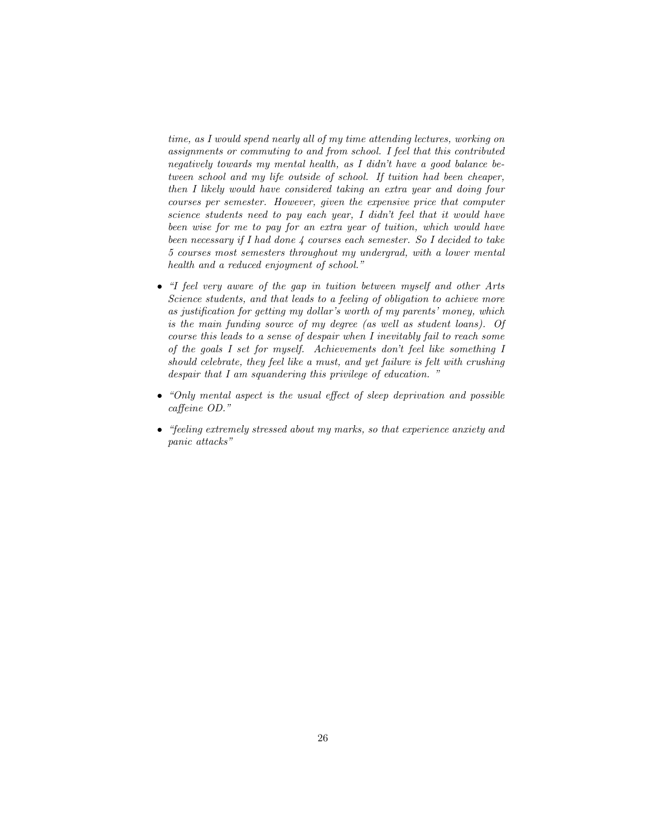time, as I would spend nearly all of my time attending lectures, working on assignments or commuting to and from school. I feel that this contributed negatively towards my mental health, as I didn't have a good balance between school and my life outside of school. If tuition had been cheaper, then I likely would have considered taking an extra year and doing four courses per semester. However, given the expensive price that computer science students need to pay each year, I didn't feel that it would have been wise for me to pay for an extra year of tuition, which would have been necessary if I had done 4 courses each semester. So I decided to take 5 courses most semesters throughout my undergrad, with a lower mental health and a reduced enjoyment of school."

- "I feel very aware of the gap in tuition between myself and other Arts Science students, and that leads to a feeling of obligation to achieve more as justification for getting my dollar's worth of my parents' money, which is the main funding source of my degree (as well as student loans). Of course this leads to a sense of despair when I inevitably fail to reach some of the goals I set for myself. Achievements don't feel like something I should celebrate, they feel like a must, and yet failure is felt with crushing despair that I am squandering this privilege of education. "
- "Only mental aspect is the usual effect of sleep deprivation and possible caffeine OD."
- "feeling extremely stressed about my marks, so that experience anxiety and panic attacks"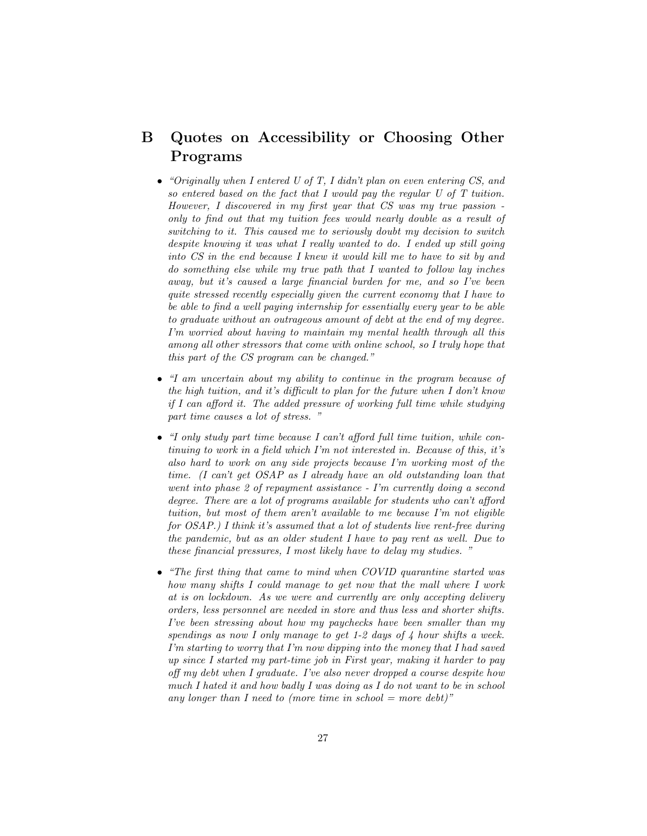## B Quotes on Accessibility or Choosing Other Programs

- "Originally when I entered U of T, I didn't plan on even entering CS, and so entered based on the fact that I would pay the regular U of T tuition. However, I discovered in my first year that CS was my true passion only to find out that my tuition fees would nearly double as a result of switching to it. This caused me to seriously doubt my decision to switch despite knowing it was what I really wanted to do. I ended up still going into CS in the end because I knew it would kill me to have to sit by and do something else while my true path that I wanted to follow lay inches away, but it's caused a large financial burden for me, and so I've been quite stressed recently especially given the current economy that I have to be able to find a well paying internship for essentially every year to be able to graduate without an outrageous amount of debt at the end of my degree. I'm worried about having to maintain my mental health through all this among all other stressors that come with online school, so I truly hope that this part of the CS program can be changed."
- "I am uncertain about my ability to continue in the program because of the high tuition, and it's difficult to plan for the future when I don't know if I can afford it. The added pressure of working full time while studying part time causes a lot of stress. "
- "I only study part time because I can't afford full time tuition, while continuing to work in a field which I'm not interested in. Because of this, it's also hard to work on any side projects because I'm working most of the time. (I can't get OSAP as I already have an old outstanding loan that went into phase 2 of repayment assistance - I'm currently doing a second degree. There are a lot of programs available for students who can't afford tuition, but most of them aren't available to me because I'm not eligible for OSAP.) I think it's assumed that a lot of students live rent-free during the pandemic, but as an older student I have to pay rent as well. Due to these financial pressures, I most likely have to delay my studies. "
- "The first thing that came to mind when COVID quarantine started was how many shifts I could manage to get now that the mall where I work at is on lockdown. As we were and currently are only accepting delivery orders, less personnel are needed in store and thus less and shorter shifts. I've been stressing about how my paychecks have been smaller than my spendings as now I only manage to get 1-2 days of  $\lambda$  hour shifts a week. I'm starting to worry that I'm now dipping into the money that I had saved up since I started my part-time job in First year, making it harder to pay off my debt when I graduate. I've also never dropped a course despite how much I hated it and how badly I was doing as I do not want to be in school any longer than I need to (more time in school  $=$  more debt)"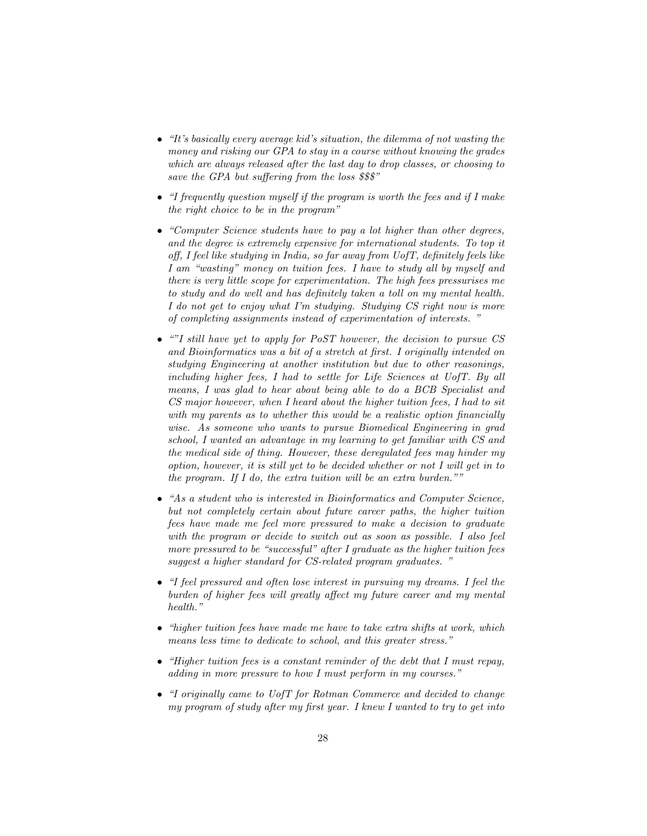- "It's basically every average kid's situation, the dilemma of not wasting the money and risking our GPA to stay in a course without knowing the grades which are always released after the last day to drop classes, or choosing to save the GPA but suffering from the loss \$\$\$"
- "I frequently question myself if the program is worth the fees and if I make the right choice to be in the program"
- "Computer Science students have to pay a lot higher than other degrees, and the degree is extremely expensive for international students. To top it off, I feel like studying in India, so far away from UofT, definitely feels like I am "wasting" money on tuition fees. I have to study all by myself and there is very little scope for experimentation. The high fees pressurises me to study and do well and has definitely taken a toll on my mental health. I do not get to enjoy what I'm studying. Studying CS right now is more of completing assignments instead of experimentation of interests. "
- ""I still have yet to apply for PoST however, the decision to pursue CS and Bioinformatics was a bit of a stretch at first. I originally intended on studying Engineering at another institution but due to other reasonings, including higher fees, I had to settle for Life Sciences at UofT. By all means, I was glad to hear about being able to do a BCB Specialist and CS major however, when I heard about the higher tuition fees, I had to sit with my parents as to whether this would be a realistic option financially wise. As someone who wants to pursue Biomedical Engineering in grad school, I wanted an advantage in my learning to get familiar with CS and the medical side of thing. However, these deregulated fees may hinder my option, however, it is still yet to be decided whether or not I will get in to the program. If I do, the extra tuition will be an extra burden.""
- "As a student who is interested in Bioinformatics and Computer Science, but not completely certain about future career paths, the higher tuition fees have made me feel more pressured to make a decision to graduate with the program or decide to switch out as soon as possible. I also feel more pressured to be "successful" after I graduate as the higher tuition fees suggest a higher standard for CS-related program graduates. "
- "I feel pressured and often lose interest in pursuing my dreams. I feel the burden of higher fees will greatly affect my future career and my mental health."
- "higher tuition fees have made me have to take extra shifts at work, which means less time to dedicate to school, and this greater stress."
- "Higher tuition fees is a constant reminder of the debt that I must repay, adding in more pressure to how I must perform in my courses."
- "I originally came to UofT for Rotman Commerce and decided to change my program of study after my first year. I knew I wanted to try to get into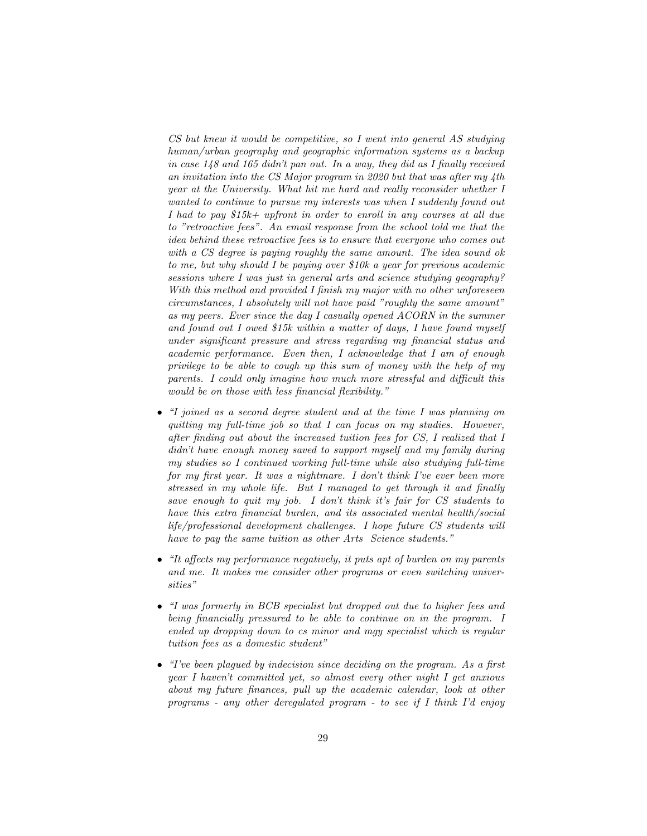CS but knew it would be competitive, so I went into general AS studying human/urban geography and geographic information systems as a backup in case 148 and 165 didn't pan out. In a way, they did as I finally received an invitation into the CS Major program in 2020 but that was after my 4th year at the University. What hit me hard and really reconsider whether I wanted to continue to pursue my interests was when I suddenly found out I had to pay \$15k+ upfront in order to enroll in any courses at all due to "retroactive fees". An email response from the school told me that the idea behind these retroactive fees is to ensure that everyone who comes out with a CS degree is paying roughly the same amount. The idea sound ok to me, but why should I be paying over \$10k a year for previous academic sessions where I was just in general arts and science studying geography? With this method and provided I finish my major with no other unforeseen circumstances, I absolutely will not have paid "roughly the same amount" as my peers. Ever since the day I casually opened ACORN in the summer and found out I owed \$15k within a matter of days, I have found myself under significant pressure and stress regarding my financial status and academic performance. Even then, I acknowledge that I am of enough privilege to be able to cough up this sum of money with the help of my parents. I could only imagine how much more stressful and difficult this would be on those with less financial flexibility."

- "I joined as a second degree student and at the time I was planning on quitting my full-time job so that I can focus on my studies. However, after finding out about the increased tuition fees for CS, I realized that I didn't have enough money saved to support myself and my family during my studies so I continued working full-time while also studying full-time for my first year. It was a nightmare. I don't think I've ever been more stressed in my whole life. But I managed to get through it and finally save enough to quit my job. I don't think it's fair for CS students to have this extra financial burden, and its associated mental health/social life/professional development challenges. I hope future CS students will have to pay the same tuition as other Arts Science students."
- "It affects my performance negatively, it puts apt of burden on my parents and me. It makes me consider other programs or even switching universities"
- "I was formerly in BCB specialist but dropped out due to higher fees and being financially pressured to be able to continue on in the program. I ended up dropping down to cs minor and mgy specialist which is regular tuition fees as a domestic student"
- "I've been plagued by indecision since deciding on the program. As a first year I haven't committed yet, so almost every other night I get anxious about my future finances, pull up the academic calendar, look at other programs - any other deregulated program - to see if I think I'd enjoy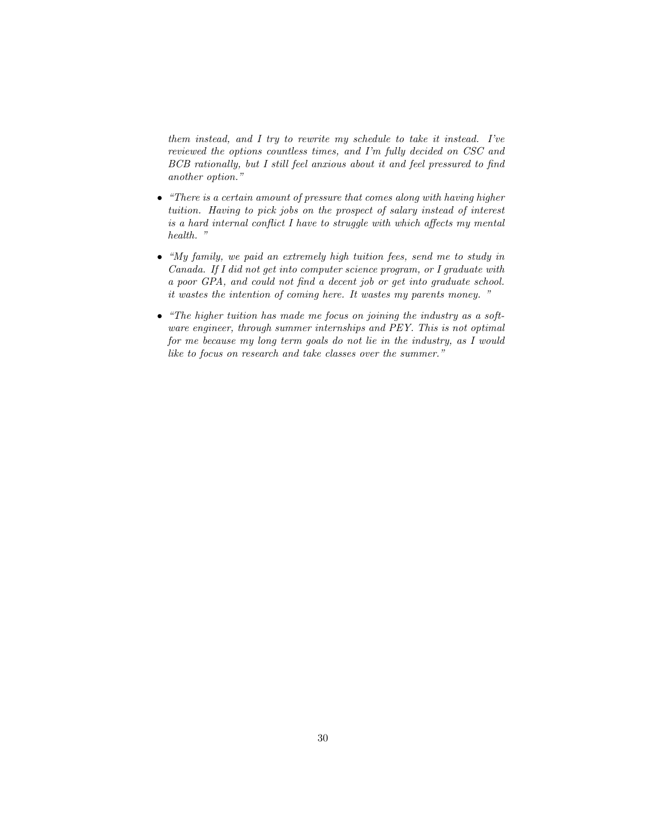them instead, and I try to rewrite my schedule to take it instead. I've reviewed the options countless times, and I'm fully decided on CSC and BCB rationally, but I still feel anxious about it and feel pressured to find another option."

- "There is a certain amount of pressure that comes along with having higher tuition. Having to pick jobs on the prospect of salary instead of interest is a hard internal conflict I have to struggle with which affects my mental health. "
- "My family, we paid an extremely high tuition fees, send me to study in Canada. If I did not get into computer science program, or I graduate with a poor GPA, and could not find a decent job or get into graduate school. it wastes the intention of coming here. It wastes my parents money. "
- "The higher tuition has made me focus on joining the industry as a software engineer, through summer internships and PEY. This is not optimal for me because my long term goals do not lie in the industry, as I would like to focus on research and take classes over the summer."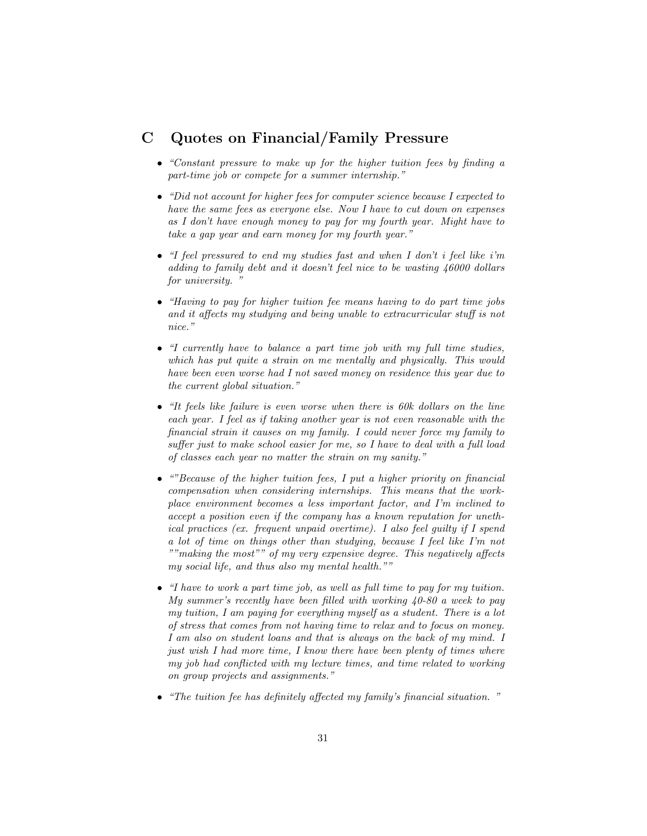## C Quotes on Financial/Family Pressure

- "Constant pressure to make up for the higher tuition fees by finding a part-time job or compete for a summer internship."
- "Did not account for higher fees for computer science because I expected to have the same fees as everyone else. Now I have to cut down on expenses as I don't have enough money to pay for my fourth year. Might have to take a gap year and earn money for my fourth year."
- "I feel pressured to end my studies fast and when I don't i feel like i'm adding to family debt and it doesn't feel nice to be wasting 46000 dollars for university.
- "Having to pay for higher tuition fee means having to do part time jobs and it affects my studying and being unable to extracurricular stuff is not nice."
- "I currently have to balance a part time job with my full time studies, which has put quite a strain on me mentally and physically. This would have been even worse had I not saved money on residence this year due to the current global situation."
- "It feels like failure is even worse when there is 60k dollars on the line each year. I feel as if taking another year is not even reasonable with the financial strain it causes on my family. I could never force my family to suffer just to make school easier for me, so I have to deal with a full load of classes each year no matter the strain on my sanity."
- ""Because of the higher tuition fees, I put a higher priority on financial compensation when considering internships. This means that the workplace environment becomes a less important factor, and I'm inclined to accept a position even if the company has a known reputation for unethical practices (ex. frequent unpaid overtime). I also feel guilty if I spend a lot of time on things other than studying, because I feel like I'm not ""making the most"" of my very expensive degree. This negatively affects my social life, and thus also my mental health.""
- "I have to work a part time job, as well as full time to pay for my tuition. My summer's recently have been filled with working 40-80 a week to pay my tuition, I am paying for everything myself as a student. There is a lot of stress that comes from not having time to relax and to focus on money. I am also on student loans and that is always on the back of my mind. I just wish I had more time, I know there have been plenty of times where my job had conflicted with my lecture times, and time related to working on group projects and assignments."
- "The tuition fee has definitely affected my family's financial situation. "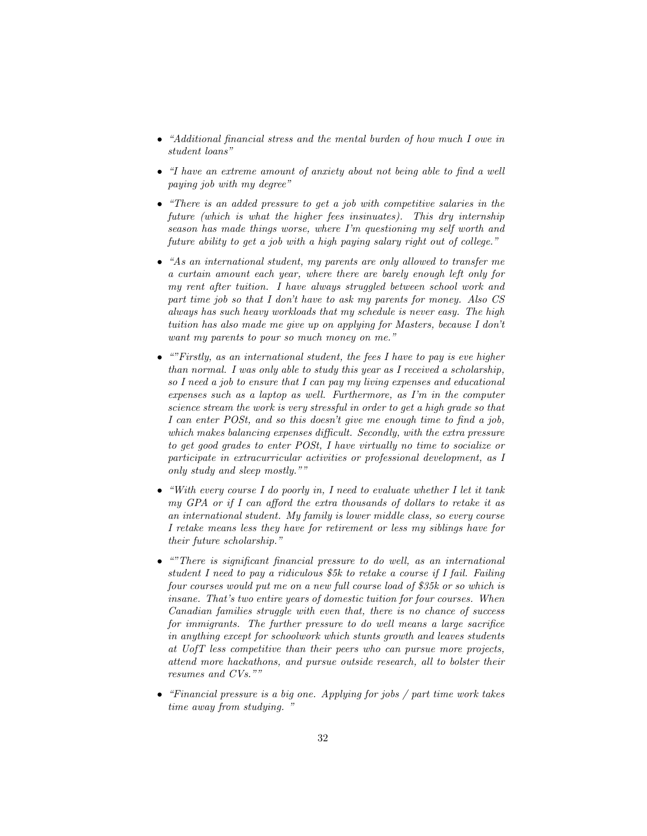- "Additional financial stress and the mental burden of how much I owe in student loans"
- "I have an extreme amount of anxiety about not being able to find a well paying job with my degree"
- "There is an added pressure to get a job with competitive salaries in the future (which is what the higher fees insinuates). This dry internship season has made things worse, where I'm questioning my self worth and future ability to get a job with a high paying salary right out of college."
- "As an international student, my parents are only allowed to transfer me a curtain amount each year, where there are barely enough left only for my rent after tuition. I have always struggled between school work and part time job so that I don't have to ask my parents for money. Also CS always has such heavy workloads that my schedule is never easy. The high tuition has also made me give up on applying for Masters, because I don't want my parents to pour so much money on me."
- $\bullet$  ""Firstly, as an international student, the fees I have to pay is eve higher than normal. I was only able to study this year as I received a scholarship, so I need a job to ensure that I can pay my living expenses and educational expenses such as a laptop as well. Furthermore, as I'm in the computer science stream the work is very stressful in order to get a high grade so that I can enter POSt, and so this doesn't give me enough time to find a job, which makes balancing expenses difficult. Secondly, with the extra pressure to get good grades to enter POSt, I have virtually no time to socialize or participate in extracurricular activities or professional development, as I only study and sleep mostly.""
- "With every course I do poorly in, I need to evaluate whether I let it tank my GPA or if I can afford the extra thousands of dollars to retake it as an international student. My family is lower middle class, so every course I retake means less they have for retirement or less my siblings have for their future scholarship."
- ""There is significant financial pressure to do well, as an international student I need to pay a ridiculous \$5k to retake a course if I fail. Failing four courses would put me on a new full course load of \$35k or so which is insane. That's two entire years of domestic tuition for four courses. When Canadian families struggle with even that, there is no chance of success for immigrants. The further pressure to do well means a large sacrifice in anything except for schoolwork which stunts growth and leaves students at UofT less competitive than their peers who can pursue more projects, attend more hackathons, and pursue outside research, all to bolster their resumes and CVs.""
- "Financial pressure is a big one. Applying for jobs / part time work takes time away from studying. "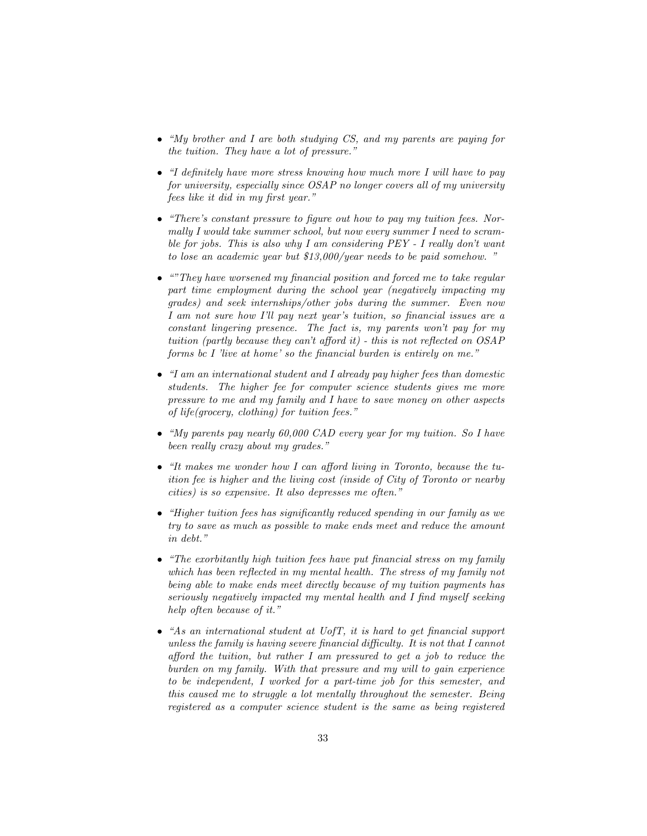- "My brother and I are both studying CS, and my parents are paying for the tuition. They have a lot of pressure."
- "I definitely have more stress knowing how much more I will have to pay for university, especially since OSAP no longer covers all of my university fees like it did in my first year."
- "There's constant pressure to figure out how to pay my tuition fees. Normally I would take summer school, but now every summer I need to scramble for jobs. This is also why I am considering PEY - I really don't want to lose an academic year but \$13,000/year needs to be paid somehow. "
- "They have worsened my financial position and forced me to take regular part time employment during the school year (negatively impacting my grades) and seek internships/other jobs during the summer. Even now I am not sure how I'll pay next year's tuition, so financial issues are a constant lingering presence. The fact is, my parents won't pay for my tuition (partly because they can't afford it) - this is not reflected on OSAP forms bc I 'live at home' so the financial burden is entirely on me."
- "I am an international student and I already pay higher fees than domestic students. The higher fee for computer science students gives me more pressure to me and my family and I have to save money on other aspects of life(grocery, clothing) for tuition fees."
- "My parents pay nearly 60,000 CAD every year for my tuition. So I have been really crazy about my grades."
- "It makes me wonder how I can afford living in Toronto, because the tuition fee is higher and the living cost (inside of City of Toronto or nearby cities) is so expensive. It also depresses me often."
- "Higher tuition fees has significantly reduced spending in our family as we try to save as much as possible to make ends meet and reduce the amount in debt."
- "The exorbitantly high tuition fees have put financial stress on my family which has been reflected in my mental health. The stress of my family not being able to make ends meet directly because of my tuition payments has seriously negatively impacted my mental health and I find myself seeking help often because of it."
- "As an international student at UofT, it is hard to get financial support unless the family is having severe financial difficulty. It is not that I cannot afford the tuition, but rather I am pressured to get a job to reduce the burden on my family. With that pressure and my will to gain experience to be independent, I worked for a part-time job for this semester, and this caused me to struggle a lot mentally throughout the semester. Being registered as a computer science student is the same as being registered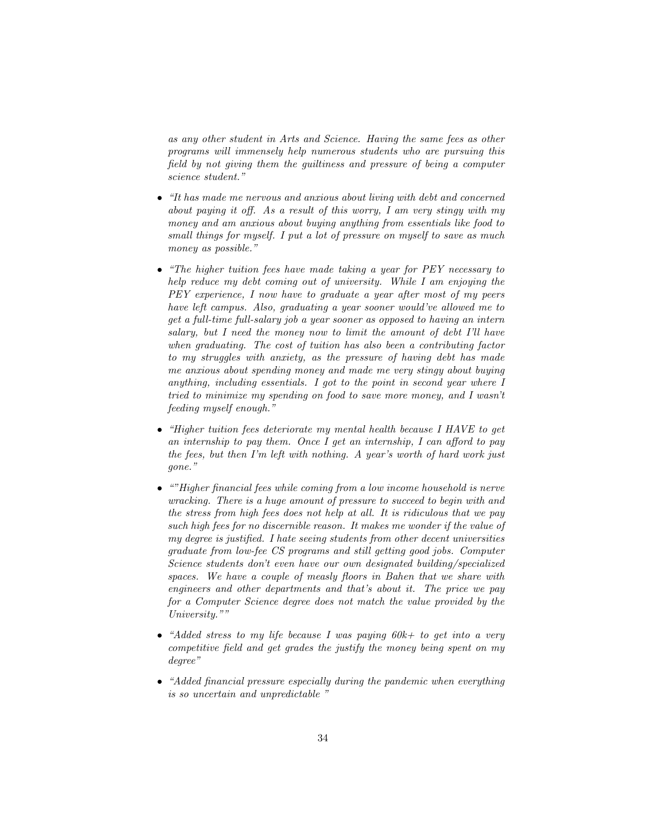as any other student in Arts and Science. Having the same fees as other programs will immensely help numerous students who are pursuing this field by not giving them the guiltiness and pressure of being a computer science student."

- "It has made me nervous and anxious about living with debt and concerned about paying it off. As a result of this worry, I am very stingy with my money and am anxious about buying anything from essentials like food to small things for myself. I put a lot of pressure on myself to save as much money as possible."
- "The higher tuition fees have made taking a year for PEY necessary to help reduce my debt coming out of university. While I am enjoying the PEY experience, I now have to graduate a year after most of my peers have left campus. Also, graduating a year sooner would've allowed me to get a full-time full-salary job a year sooner as opposed to having an intern salary, but I need the money now to limit the amount of debt I'll have when graduating. The cost of tuition has also been a contributing factor to my struggles with anxiety, as the pressure of having debt has made me anxious about spending money and made me very stingy about buying anything, including essentials. I got to the point in second year where I tried to minimize my spending on food to save more money, and I wasn't feeding myself enough."
- "Higher tuition fees deteriorate my mental health because I HAVE to get an internship to pay them. Once I get an internship, I can afford to pay the fees, but then I'm left with nothing. A year's worth of hard work just gone."
- ""Higher financial fees while coming from a low income household is nerve wracking. There is a huge amount of pressure to succeed to begin with and the stress from high fees does not help at all. It is ridiculous that we pay such high fees for no discernible reason. It makes me wonder if the value of my degree is justified. I hate seeing students from other decent universities graduate from low-fee CS programs and still getting good jobs. Computer Science students don't even have our own designated building/specialized spaces. We have a couple of measly floors in Bahen that we share with engineers and other departments and that's about it. The price we pay for a Computer Science degree does not match the value provided by the University.""
- "Added stress to my life because I was paying  $60k$ + to get into a very competitive field and get grades the justify the money being spent on my degree"
- "Added financial pressure especially during the pandemic when everything is so uncertain and unpredictable "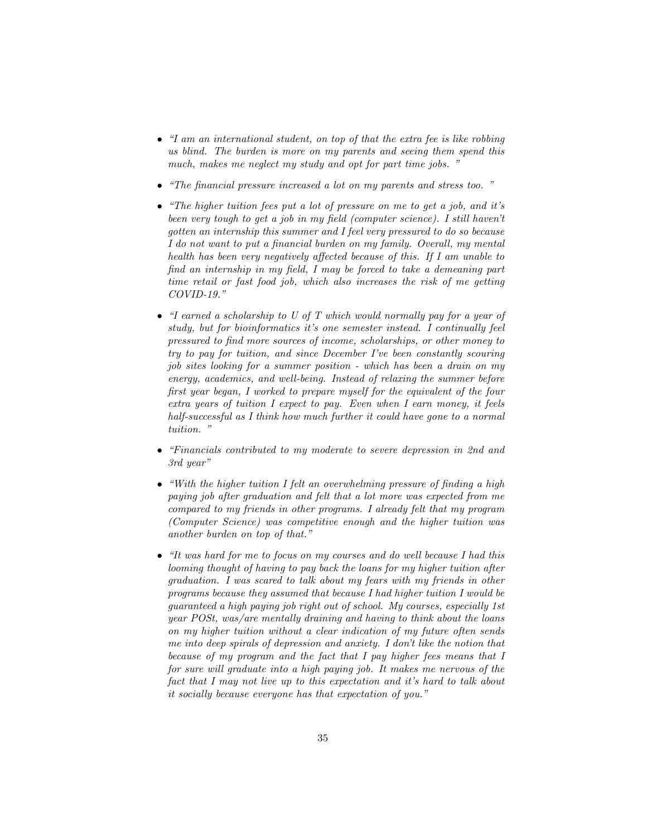- "I am an international student, on top of that the extra fee is like robbing us blind. The burden is more on my parents and seeing them spend this much, makes me neglect my study and opt for part time jobs. "
- "The financial pressure increased a lot on my parents and stress too. "
- "The higher tuition fees put a lot of pressure on me to get a job, and it's been very tough to get a job in my field (computer science). I still haven't gotten an internship this summer and I feel very pressured to do so because I do not want to put a financial burden on my family. Overall, my mental health has been very negatively affected because of this. If I am unable to find an internship in my field, I may be forced to take a demeaning part time retail or fast food job, which also increases the risk of me getting COVID-19."
- "I earned a scholarship to U of T which would normally pay for a year of study, but for bioinformatics it's one semester instead. I continually feel pressured to find more sources of income, scholarships, or other money to try to pay for tuition, and since December I've been constantly scouring job sites looking for a summer position - which has been a drain on my energy, academics, and well-being. Instead of relaxing the summer before first year began, I worked to prepare myself for the equivalent of the four extra years of tuition I expect to pay. Even when I earn money, it feels half-successful as I think how much further it could have gone to a normal tuition. "
- "Financials contributed to my moderate to severe depression in 2nd and 3rd year"
- "With the higher tuition I felt an overwhelming pressure of finding a high paying job after graduation and felt that a lot more was expected from me compared to my friends in other programs. I already felt that my program (Computer Science) was competitive enough and the higher tuition was another burden on top of that."
- "It was hard for me to focus on my courses and do well because I had this looming thought of having to pay back the loans for my higher tuition after graduation. I was scared to talk about my fears with my friends in other programs because they assumed that because I had higher tuition I would be guaranteed a high paying job right out of school. My courses, especially 1st year POSt, was/are mentally draining and having to think about the loans on my higher tuition without a clear indication of my future often sends me into deep spirals of depression and anxiety. I don't like the notion that because of my program and the fact that I pay higher fees means that I for sure will graduate into a high paying job. It makes me nervous of the fact that I may not live up to this expectation and it's hard to talk about it socially because everyone has that expectation of you."